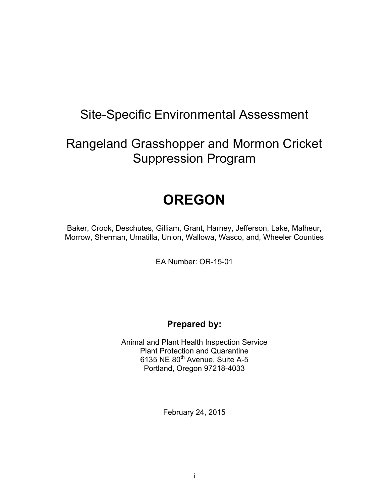# Site-Specific Environmental Assessment

# Rangeland Grasshopper and Mormon Cricket Suppression Program

# **OREGON**

Baker, Crook, Deschutes, Gilliam, Grant, Harney, Jefferson, Lake, Malheur, Morrow, Sherman, Umatilla, Union, Wallowa, Wasco, and, Wheeler Counties

EA Number: OR-15-01

## **Prepared by:**

Animal and Plant Health Inspection Service Plant Protection and Quarantine 6135 NE 80<sup>th</sup> Avenue, Suite A-5 Portland, Oregon 97218-4033

February 24, 2015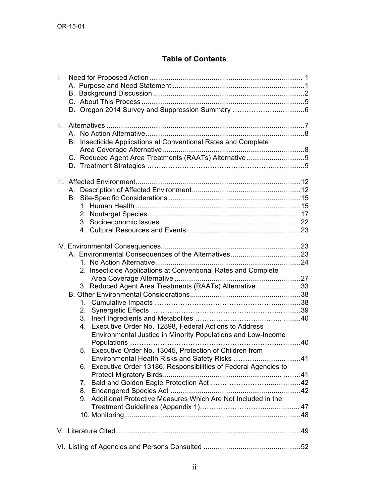### **Table of Contents**

| L.  |                                                                   |  |  |  |  |
|-----|-------------------------------------------------------------------|--|--|--|--|
|     |                                                                   |  |  |  |  |
|     |                                                                   |  |  |  |  |
|     |                                                                   |  |  |  |  |
|     |                                                                   |  |  |  |  |
| II. |                                                                   |  |  |  |  |
|     | A                                                                 |  |  |  |  |
|     | B. Insecticide Applications at Conventional Rates and Complete    |  |  |  |  |
|     |                                                                   |  |  |  |  |
|     | C. Reduced Agent Area Treatments (RAATs) Alternative9             |  |  |  |  |
|     |                                                                   |  |  |  |  |
|     |                                                                   |  |  |  |  |
|     |                                                                   |  |  |  |  |
|     |                                                                   |  |  |  |  |
|     | В.                                                                |  |  |  |  |
|     |                                                                   |  |  |  |  |
|     |                                                                   |  |  |  |  |
|     |                                                                   |  |  |  |  |
|     |                                                                   |  |  |  |  |
|     |                                                                   |  |  |  |  |
|     |                                                                   |  |  |  |  |
|     |                                                                   |  |  |  |  |
|     |                                                                   |  |  |  |  |
|     | 2. Insecticide Applications at Conventional Rates and Complete    |  |  |  |  |
|     |                                                                   |  |  |  |  |
|     | 3. Reduced Agent Area Treatments (RAATs) Alternative33            |  |  |  |  |
|     |                                                                   |  |  |  |  |
|     |                                                                   |  |  |  |  |
|     |                                                                   |  |  |  |  |
|     | 4. Executive Order No. 12898, Federal Actions to Address          |  |  |  |  |
|     | Environmental Justice in Minority Populations and Low-Income      |  |  |  |  |
|     |                                                                   |  |  |  |  |
|     | 5. Executive Order No. 13045, Protection of Children from         |  |  |  |  |
|     | Environmental Health Risks and Safety Risks 41                    |  |  |  |  |
|     | 6. Executive Order 13186, Responsibilities of Federal Agencies to |  |  |  |  |
|     |                                                                   |  |  |  |  |
|     | $7_{\scriptscriptstyle{\sim}}$                                    |  |  |  |  |
|     |                                                                   |  |  |  |  |
|     | 9. Additional Protective Measures Which Are Not Included in the   |  |  |  |  |
|     |                                                                   |  |  |  |  |
|     |                                                                   |  |  |  |  |
|     |                                                                   |  |  |  |  |
|     |                                                                   |  |  |  |  |
|     |                                                                   |  |  |  |  |
|     |                                                                   |  |  |  |  |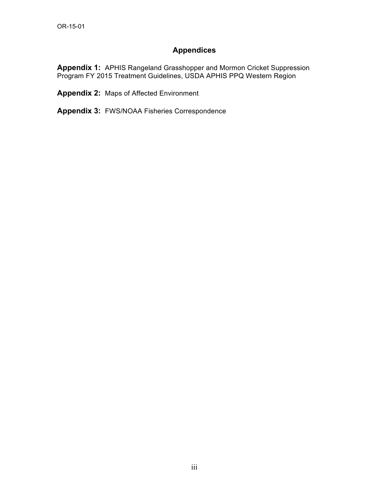### **Appendices**

**Appendix 1:** APHIS Rangeland Grasshopper and Mormon Cricket Suppression Program FY 2015 Treatment Guidelines, USDA APHIS PPQ Western Region

**Appendix 2:** Maps of Affected Environment

**Appendix 3:** FWS/NOAA Fisheries Correspondence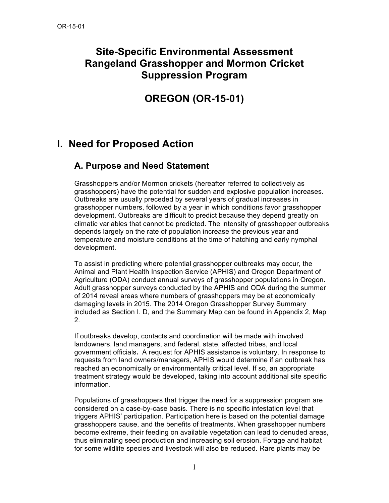# **Site-Specific Environmental Assessment Rangeland Grasshopper and Mormon Cricket Suppression Program**

# **OREGON (OR-15-01)**

# **I. Need for Proposed Action**

## **A. Purpose and Need Statement**

Grasshoppers and/or Mormon crickets (hereafter referred to collectively as grasshoppers) have the potential for sudden and explosive population increases. Outbreaks are usually preceded by several years of gradual increases in grasshopper numbers, followed by a year in which conditions favor grasshopper development. Outbreaks are difficult to predict because they depend greatly on climatic variables that cannot be predicted. The intensity of grasshopper outbreaks depends largely on the rate of population increase the previous year and temperature and moisture conditions at the time of hatching and early nymphal development.

To assist in predicting where potential grasshopper outbreaks may occur, the Animal and Plant Health Inspection Service (APHIS) and Oregon Department of Agriculture (ODA) conduct annual surveys of grasshopper populations in Oregon. Adult grasshopper surveys conducted by the APHIS and ODA during the summer of 2014 reveal areas where numbers of grasshoppers may be at economically damaging levels in 2015. The 2014 Oregon Grasshopper Survey Summary included as Section I. D, and the Summary Map can be found in Appendix 2, Map 2.

If outbreaks develop, contacts and coordination will be made with involved landowners, land managers, and federal, state, affected tribes, and local government officials**.** A request for APHIS assistance is voluntary. In response to requests from land owners/managers, APHIS would determine if an outbreak has reached an economically or environmentally critical level. If so, an appropriate treatment strategy would be developed, taking into account additional site specific information.

Populations of grasshoppers that trigger the need for a suppression program are considered on a case-by-case basis. There is no specific infestation level that triggers APHIS' participation. Participation here is based on the potential damage grasshoppers cause, and the benefits of treatments. When grasshopper numbers become extreme, their feeding on available vegetation can lead to denuded areas, thus eliminating seed production and increasing soil erosion. Forage and habitat for some wildlife species and livestock will also be reduced. Rare plants may be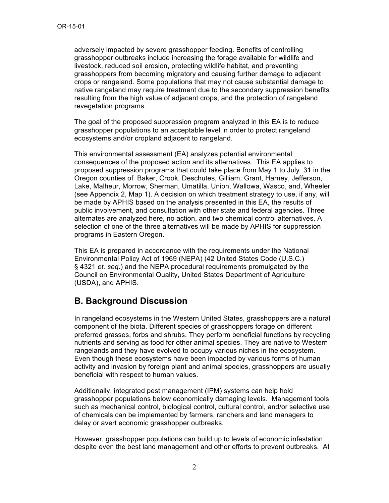adversely impacted by severe grasshopper feeding. Benefits of controlling grasshopper outbreaks include increasing the forage available for wildlife and livestock, reduced soil erosion, protecting wildlife habitat, and preventing grasshoppers from becoming migratory and causing further damage to adjacent crops or rangeland. Some populations that may not cause substantial damage to native rangeland may require treatment due to the secondary suppression benefits resulting from the high value of adjacent crops, and the protection of rangeland revegetation programs.

The goal of the proposed suppression program analyzed in this EA is to reduce grasshopper populations to an acceptable level in order to protect rangeland ecosystems and/or cropland adjacent to rangeland.

This environmental assessment (EA) analyzes potential environmental consequences of the proposed action and its alternatives. This EA applies to proposed suppression programs that could take place from May 1 to July 31 in the Oregon counties of Baker, Crook, Deschutes, Gilliam, Grant, Harney, Jefferson, Lake, Malheur, Morrow, Sherman, Umatilla, Union, Wallowa, Wasco, and, Wheeler (see Appendix 2, Map 1). A decision on which treatment strategy to use, if any, will be made by APHIS based on the analysis presented in this EA, the results of public involvement, and consultation with other state and federal agencies. Three alternates are analyzed here, no action, and two chemical control alternatives. A selection of one of the three alternatives will be made by APHIS for suppression programs in Eastern Oregon.

This EA is prepared in accordance with the requirements under the National Environmental Policy Act of 1969 (NEPA) (42 United States Code (U.S.C.) § 4321 *et. seq.*) and the NEPA procedural requirements promulgated by the Council on Environmental Quality, United States Department of Agriculture (USDA), and APHIS.

# **B. Background Discussion**

In rangeland ecosystems in the Western United States, grasshoppers are a natural component of the biota. Different species of grasshoppers forage on different preferred grasses, forbs and shrubs. They perform beneficial functions by recycling nutrients and serving as food for other animal species. They are native to Western rangelands and they have evolved to occupy various niches in the ecosystem. Even though these ecosystems have been impacted by various forms of human activity and invasion by foreign plant and animal species, grasshoppers are usually beneficial with respect to human values.

Additionally, integrated pest management (IPM) systems can help hold grasshopper populations below economically damaging levels. Management tools such as mechanical control, biological control, cultural control, and/or selective use of chemicals can be implemented by farmers, ranchers and land managers to delay or avert economic grasshopper outbreaks.

However, grasshopper populations can build up to levels of economic infestation despite even the best land management and other efforts to prevent outbreaks. At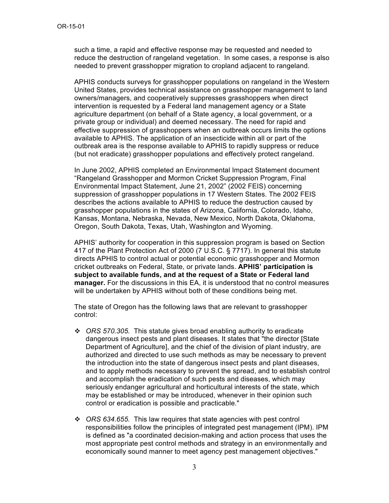such a time, a rapid and effective response may be requested and needed to reduce the destruction of rangeland vegetation. In some cases, a response is also needed to prevent grasshopper migration to cropland adjacent to rangeland.

APHIS conducts surveys for grasshopper populations on rangeland in the Western United States, provides technical assistance on grasshopper management to land owners/managers, and cooperatively suppresses grasshoppers when direct intervention is requested by a Federal land management agency or a State agriculture department (on behalf of a State agency, a local government, or a private group or individual) and deemed necessary. The need for rapid and effective suppression of grasshoppers when an outbreak occurs limits the options available to APHIS. The application of an insecticide within all or part of the outbreak area is the response available to APHIS to rapidly suppress or reduce (but not eradicate) grasshopper populations and effectively protect rangeland.

In June 2002, APHIS completed an Environmental Impact Statement document "Rangeland Grasshopper and Mormon Cricket Suppression Program, Final Environmental Impact Statement, June 21, 2002" (2002 FEIS) concerning suppression of grasshopper populations in 17 Western States. The 2002 FEIS describes the actions available to APHIS to reduce the destruction caused by grasshopper populations in the states of Arizona, California, Colorado, Idaho, Kansas, Montana, Nebraska, Nevada, New Mexico, North Dakota, Oklahoma, Oregon, South Dakota, Texas, Utah, Washington and Wyoming.

APHIS' authority for cooperation in this suppression program is based on Section 417 of the Plant Protection Act of 2000 (7 U.S.C. § 7717). In general this statute directs APHIS to control actual or potential economic grasshopper and Mormon cricket outbreaks on Federal, State, or private lands. **APHIS' participation is subject to available funds, and at the request of a State or Federal land manager.** For the discussions in this EA, it is understood that no control measures will be undertaken by APHIS without both of these conditions being met.

The state of Oregon has the following laws that are relevant to grasshopper control:

- ! *ORS 570.305.* This statute gives broad enabling authority to eradicate dangerous insect pests and plant diseases. It states that "the director [State Department of Agriculture], and the chief of the division of plant industry, are authorized and directed to use such methods as may be necessary to prevent the introduction into the state of dangerous insect pests and plant diseases, and to apply methods necessary to prevent the spread, and to establish control and accomplish the eradication of such pests and diseases, which may seriously endanger agricultural and horticultural interests of the state, which may be established or may be introduced, whenever in their opinion such control or eradication is possible and practicable."
- ! *ORS 634.655.* This law requires that state agencies with pest control responsibilities follow the principles of integrated pest management (IPM). IPM is defined as "a coordinated decision-making and action process that uses the most appropriate pest control methods and strategy in an environmentally and economically sound manner to meet agency pest management objectives."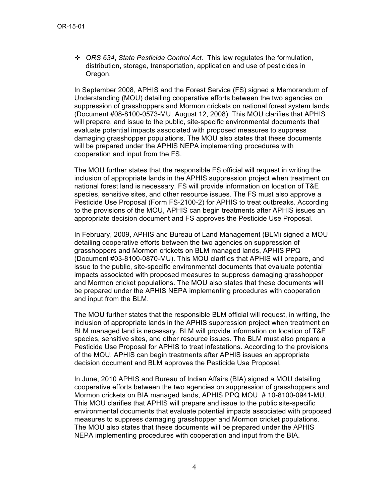! *ORS 634*, *State Pesticide Control Act.* This law regulates the formulation, distribution, storage, transportation, application and use of pesticides in Oregon.

In September 2008, APHIS and the Forest Service (FS) signed a Memorandum of Understanding (MOU) detailing cooperative efforts between the two agencies on suppression of grasshoppers and Mormon crickets on national forest system lands (Document #08-8100-0573-MU, August 12, 2008). This MOU clarifies that APHIS will prepare, and issue to the public, site-specific environmental documents that evaluate potential impacts associated with proposed measures to suppress damaging grasshopper populations. The MOU also states that these documents will be prepared under the APHIS NEPA implementing procedures with cooperation and input from the FS.

The MOU further states that the responsible FS official will request in writing the inclusion of appropriate lands in the APHIS suppression project when treatment on national forest land is necessary. FS will provide information on location of T&E species, sensitive sites, and other resource issues. The FS must also approve a Pesticide Use Proposal (Form FS-2100-2) for APHIS to treat outbreaks. According to the provisions of the MOU, APHIS can begin treatments after APHIS issues an appropriate decision document and FS approves the Pesticide Use Proposal.

In February, 2009, APHIS and Bureau of Land Management (BLM) signed a MOU detailing cooperative efforts between the two agencies on suppression of grasshoppers and Mormon crickets on BLM managed lands, APHIS PPQ (Document #03-8100-0870-MU). This MOU clarifies that APHIS will prepare, and issue to the public, site-specific environmental documents that evaluate potential impacts associated with proposed measures to suppress damaging grasshopper and Mormon cricket populations. The MOU also states that these documents will be prepared under the APHIS NEPA implementing procedures with cooperation and input from the BLM.

The MOU further states that the responsible BLM official will request, in writing, the inclusion of appropriate lands in the APHIS suppression project when treatment on BLM managed land is necessary. BLM will provide information on location of T&E species, sensitive sites, and other resource issues. The BLM must also prepare a Pesticide Use Proposal for APHIS to treat infestations. According to the provisions of the MOU, APHIS can begin treatments after APHIS issues an appropriate decision document and BLM approves the Pesticide Use Proposal.

In June, 2010 APHIS and Bureau of Indian Affairs (BIA) signed a MOU detailing cooperative efforts between the two agencies on suppression of grasshoppers and Mormon crickets on BIA managed lands, APHIS PPQ MOU # 10-8100-0941-MU. This MOU clarifies that APHIS will prepare and issue to the public site-specific environmental documents that evaluate potential impacts associated with proposed measures to suppress damaging grasshopper and Mormon cricket populations. The MOU also states that these documents will be prepared under the APHIS NEPA implementing procedures with cooperation and input from the BIA.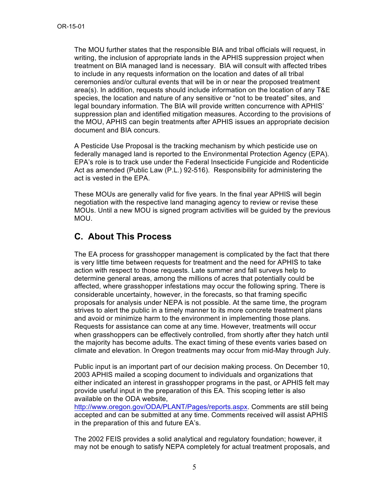The MOU further states that the responsible BIA and tribal officials will request, in writing, the inclusion of appropriate lands in the APHIS suppression project when treatment on BIA managed land is necessary. BIA will consult with affected tribes to include in any requests information on the location and dates of all tribal ceremonies and/or cultural events that will be in or near the proposed treatment area(s). In addition, requests should include information on the location of any T&E species, the location and nature of any sensitive or "not to be treated" sites, and legal boundary information. The BIA will provide written concurrence with APHIS' suppression plan and identified mitigation measures. According to the provisions of the MOU, APHIS can begin treatments after APHIS issues an appropriate decision document and BIA concurs.

A Pesticide Use Proposal is the tracking mechanism by which pesticide use on federally managed land is reported to the Environmental Protection Agency (EPA). EPA's role is to track use under the Federal Insecticide Fungicide and Rodenticide Act as amended (Public Law (P.L.) 92-516). Responsibility for administering the act is vested in the EPA.

These MOUs are generally valid for five years. In the final year APHIS will begin negotiation with the respective land managing agency to review or revise these MOUs. Until a new MOU is signed program activities will be guided by the previous MOU.

# **C. About This Process**

The EA process for grasshopper management is complicated by the fact that there is very little time between requests for treatment and the need for APHIS to take action with respect to those requests. Late summer and fall surveys help to determine general areas, among the millions of acres that potentially could be affected, where grasshopper infestations may occur the following spring. There is considerable uncertainty, however, in the forecasts, so that framing specific proposals for analysis under NEPA is not possible. At the same time, the program strives to alert the public in a timely manner to its more concrete treatment plans and avoid or minimize harm to the environment in implementing those plans. Requests for assistance can come at any time. However, treatments will occur when grasshoppers can be effectively controlled, from shortly after they hatch until the majority has become adults. The exact timing of these events varies based on climate and elevation. In Oregon treatments may occur from mid-May through July.

Public input is an important part of our decision making process. On December 10, 2003 APHIS mailed a scoping document to individuals and organizations that either indicated an interest in grasshopper programs in the past, or APHIS felt may provide useful input in the preparation of this EA. This scoping letter is also available on the ODA website,

http://www.oregon.gov/ODA/PLANT/Pages/reports.aspx. Comments are still being accepted and can be submitted at any time. Comments received will assist APHIS in the preparation of this and future EA's.

The 2002 FEIS provides a solid analytical and regulatory foundation; however, it may not be enough to satisfy NEPA completely for actual treatment proposals, and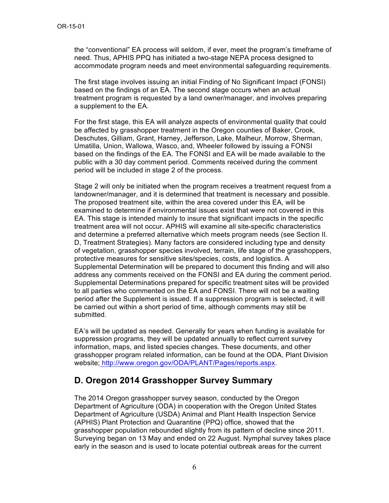the "conventional" EA process will seldom, if ever, meet the program's timeframe of need. Thus, APHIS PPQ has initiated a two-stage NEPA process designed to accommodate program needs and meet environmental safeguarding requirements.

The first stage involves issuing an initial Finding of No Significant Impact (FONSI) based on the findings of an EA. The second stage occurs when an actual treatment program is requested by a land owner/manager, and involves preparing a supplement to the EA.

For the first stage, this EA will analyze aspects of environmental quality that could be affected by grasshopper treatment in the Oregon counties of Baker, Crook, Deschutes, Gilliam, Grant, Harney, Jefferson, Lake, Malheur, Morrow, Sherman, Umatilla, Union, Wallowa, Wasco, and, Wheeler followed by issuing a FONSI based on the findings of the EA. The FONSI and EA will be made available to the public with a 30 day comment period. Comments received during the comment period will be included in stage 2 of the process.

Stage 2 will only be initiated when the program receives a treatment request from a landowner/manager, and it is determined that treatment is necessary and possible. The proposed treatment site, within the area covered under this EA, will be examined to determine if environmental issues exist that were not covered in this EA. This stage is intended mainly to insure that significant impacts in the specific treatment area will not occur. APHIS will examine all site-specific characteristics and determine a preferred alternative which meets program needs (see Section II. D, Treatment Strategies). Many factors are considered including type and density of vegetation, grasshopper species involved, terrain, life stage of the grasshoppers, protective measures for sensitive sites/species, costs, and logistics. A Supplemental Determination will be prepared to document this finding and will also address any comments received on the FONSI and EA during the comment period. Supplemental Determinations prepared for specific treatment sites will be provided to all parties who commented on the EA and FONSI. There will not be a waiting period after the Supplement is issued. If a suppression program is selected, it will be carried out within a short period of time, although comments may still be submitted.

EA's will be updated as needed. Generally for years when funding is available for suppression programs, they will be updated annually to reflect current survey information, maps, and listed species changes. These documents, and other grasshopper program related information, can be found at the ODA, Plant Division website; http://www.oregon.gov/ODA/PLANT/Pages/reports.aspx.

## **D. Oregon 2014 Grasshopper Survey Summary**

The 2014 Oregon grasshopper survey season, conducted by the Oregon Department of Agriculture (ODA) in cooperation with the Oregon United States Department of Agriculture (USDA) Animal and Plant Health Inspection Service (APHIS) Plant Protection and Quarantine (PPQ) office, showed that the grasshopper population rebounded slightly from its pattern of decline since 2011. Surveying began on 13 May and ended on 22 August. Nymphal survey takes place early in the season and is used to locate potential outbreak areas for the current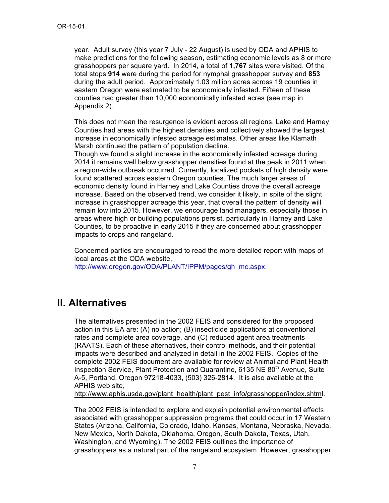year. Adult survey (this year 7 July - 22 August) is used by ODA and APHIS to make predictions for the following season, estimating economic levels as 8 or more grasshoppers per square yard. In 2014, a total of **1,767** sites were visited. Of the total stops **914** were during the period for nymphal grasshopper survey and **853** during the adult period. Approximately 1.03 million acres across 19 counties in eastern Oregon were estimated to be economically infested. Fifteen of these counties had greater than 10,000 economically infested acres (see map in Appendix 2).

This does not mean the resurgence is evident across all regions. Lake and Harney Counties had areas with the highest densities and collectively showed the largest increase in economically infested acreage estimates. Other areas like Klamath Marsh continued the pattern of population decline.

Though we found a slight increase in the economically infested acreage during 2014 it remains well below grasshopper densities found at the peak in 2011 when a region-wide outbreak occurred. Currently, localized pockets of high density were found scattered across eastern Oregon counties. The much larger areas of economic density found in Harney and Lake Counties drove the overall acreage increase. Based on the observed trend, we consider it likely, in spite of the slight increase in grasshopper acreage this year, that overall the pattern of density will remain low into 2015. However, we encourage land managers, especially those in areas where high or building populations persist, particularly in Harney and Lake Counties, to be proactive in early 2015 if they are concerned about grasshopper impacts to crops and rangeland.

Concerned parties are encouraged to read the more detailed report with maps of local areas at the ODA website,

http://www.oregon.gov/ODA/PLANT/IPPM/pages/gh\_mc.aspx.

# **II. Alternatives**

The alternatives presented in the 2002 FEIS and considered for the proposed action in this EA are: (A) no action; (B) insecticide applications at conventional rates and complete area coverage, and (C) reduced agent area treatments (RAATS). Each of these alternatives, their control methods, and their potential impacts were described and analyzed in detail in the 2002 FEIS. Copies of the complete 2002 FEIS document are available for review at Animal and Plant Health Inspection Service, Plant Protection and Quarantine, 6135 NE 80<sup>th</sup> Avenue, Suite A-5, Portland, Oregon 97218-4033, (503) 326-2814. It is also available at the APHIS web site,

http://www.aphis.usda.gov/plant\_health/plant\_pest\_info/grasshopper/index.shtml.

The 2002 FEIS is intended to explore and explain potential environmental effects associated with grasshopper suppression programs that could occur in 17 Western States (Arizona, California, Colorado, Idaho, Kansas, Montana, Nebraska, Nevada, New Mexico, North Dakota, Oklahoma, Oregon, South Dakota, Texas, Utah, Washington, and Wyoming). The 2002 FEIS outlines the importance of grasshoppers as a natural part of the rangeland ecosystem. However, grasshopper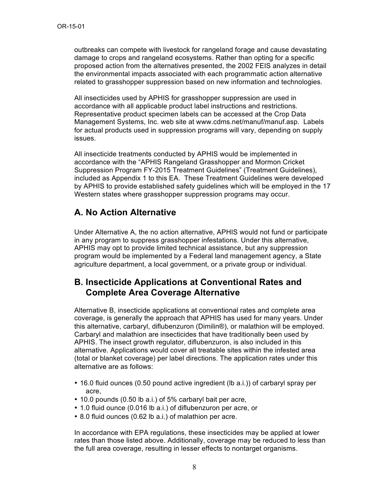outbreaks can compete with livestock for rangeland forage and cause devastating damage to crops and rangeland ecosystems. Rather than opting for a specific proposed action from the alternatives presented, the 2002 FEIS analyzes in detail the environmental impacts associated with each programmatic action alternative related to grasshopper suppression based on new information and technologies.

All insecticides used by APHIS for grasshopper suppression are used in accordance with all applicable product label instructions and restrictions. Representative product specimen labels can be accessed at the Crop Data Management Systems, Inc. web site at www.cdms.net/manuf/manuf.asp. Labels for actual products used in suppression programs will vary, depending on supply issues.

All insecticide treatments conducted by APHIS would be implemented in accordance with the "APHIS Rangeland Grasshopper and Mormon Cricket Suppression Program FY-2015 Treatment Guidelines" (Treatment Guidelines), included as Appendix 1 to this EA. These Treatment Guidelines were developed by APHIS to provide established safety guidelines which will be employed in the 17 Western states where grasshopper suppression programs may occur.

# **A. No Action Alternative**

Under Alternative A, the no action alternative, APHIS would not fund or participate in any program to suppress grasshopper infestations. Under this alternative, APHIS may opt to provide limited technical assistance, but any suppression program would be implemented by a Federal land management agency, a State agriculture department, a local government, or a private group or individual.

### **B. Insecticide Applications at Conventional Rates and Complete Area Coverage Alternative**

Alternative B, insecticide applications at conventional rates and complete area coverage, is generally the approach that APHIS has used for many years. Under this alternative, carbaryl, diflubenzuron (Dimilin®), or malathion will be employed. Carbaryl and malathion are insecticides that have traditionally been used by APHIS. The insect growth regulator, diflubenzuron, is also included in this alternative. Applications would cover all treatable sites within the infested area (total or blanket coverage) per label directions. The application rates under this alternative are as follows:

- 16.0 fluid ounces (0.50 pound active ingredient (lb a.i.)) of carbaryl spray per acre,
- 10.0 pounds (0.50 lb a.i.) of 5% carbaryl bait per acre,
- 1.0 fluid ounce (0.016 lb a.i.) of diflubenzuron per acre, or
- 8.0 fluid ounces (0.62 lb a.i.) of malathion per acre.

In accordance with EPA regulations, these insecticides may be applied at lower rates than those listed above. Additionally, coverage may be reduced to less than the full area coverage, resulting in lesser effects to nontarget organisms.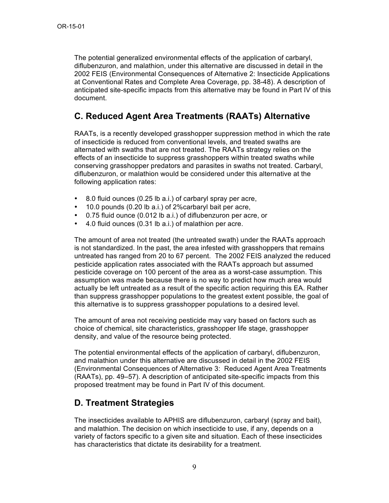The potential generalized environmental effects of the application of carbaryl, diflubenzuron, and malathion, under this alternative are discussed in detail in the 2002 FEIS (Environmental Consequences of Alternative 2: Insecticide Applications at Conventional Rates and Complete Area Coverage, pp. 38-48). A description of anticipated site-specific impacts from this alternative may be found in Part IV of this document.

# **C. Reduced Agent Area Treatments (RAATs) Alternative**

RAATs, is a recently developed grasshopper suppression method in which the rate of insecticide is reduced from conventional levels, and treated swaths are alternated with swaths that are not treated. The RAATs strategy relies on the effects of an insecticide to suppress grasshoppers within treated swaths while conserving grasshopper predators and parasites in swaths not treated. Carbaryl, diflubenzuron, or malathion would be considered under this alternative at the following application rates:

- 8.0 fluid ounces (0.25 lb a.i.) of carbaryl spray per acre,
- 10.0 pounds (0.20 lb a.i.) of 2%carbaryl bait per acre,
- 0.75 fluid ounce (0.012 lb a.i.) of diflubenzuron per acre, or
- 4.0 fluid ounces (0.31 lb a.i.) of malathion per acre.

The amount of area not treated (the untreated swath) under the RAATs approach is not standardized. In the past, the area infested with grasshoppers that remains untreated has ranged from 20 to 67 percent. The 2002 FEIS analyzed the reduced pesticide application rates associated with the RAATs approach but assumed pesticide coverage on 100 percent of the area as a worst-case assumption. This assumption was made because there is no way to predict how much area would actually be left untreated as a result of the specific action requiring this EA. Rather than suppress grasshopper populations to the greatest extent possible, the goal of this alternative is to suppress grasshopper populations to a desired level.

The amount of area not receiving pesticide may vary based on factors such as choice of chemical, site characteristics, grasshopper life stage, grasshopper density, and value of the resource being protected.

The potential environmental effects of the application of carbaryl, diflubenzuron, and malathion under this alternative are discussed in detail in the 2002 FEIS (Environmental Consequences of Alternative 3: Reduced Agent Area Treatments (RAATs), pp. 49–57). A description of anticipated site-specific impacts from this proposed treatment may be found in Part IV of this document.

## **D. Treatment Strategies**

The insecticides available to APHIS are diflubenzuron, carbaryl (spray and bait), and malathion. The decision on which insecticide to use, if any, depends on a variety of factors specific to a given site and situation. Each of these insecticides has characteristics that dictate its desirability for a treatment.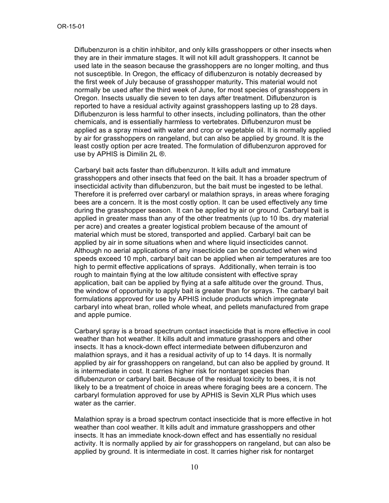Diflubenzuron is a chitin inhibitor, and only kills grasshoppers or other insects when they are in their immature stages. It will not kill adult grasshoppers. It cannot be used late in the season because the grasshoppers are no longer molting, and thus not susceptible. In Oregon, the efficacy of diflubenzuron is notably decreased by the first week of July because of grasshopper maturity**.** This material would not normally be used after the third week of June, for most species of grasshoppers in Oregon. Insects usually die seven to ten days after treatment. Diflubenzuron is reported to have a residual activity against grasshoppers lasting up to 28 days. Diflubenzuron is less harmful to other insects, including pollinators, than the other chemicals, and is essentially harmless to vertebrates. Diflubenzuron must be applied as a spray mixed with water and crop or vegetable oil. It is normally applied by air for grasshoppers on rangeland, but can also be applied by ground. It is the least costly option per acre treated. The formulation of diflubenzuron approved for use by APHIS is Dimilin 2L ®.

Carbaryl bait acts faster than diflubenzuron. It kills adult and immature grasshoppers and other insects that feed on the bait. It has a broader spectrum of insecticidal activity than diflubenzuron, but the bait must be ingested to be lethal. Therefore it is preferred over carbaryl or malathion sprays, in areas where foraging bees are a concern. It is the most costly option. It can be used effectively any time during the grasshopper season. It can be applied by air or ground. Carbaryl bait is applied in greater mass than any of the other treatments (up to 10 lbs. dry material per acre) and creates a greater logistical problem because of the amount of material which must be stored, transported and applied. Carbaryl bait can be applied by air in some situations when and where liquid insecticides cannot. Although no aerial applications of any insecticide can be conducted when wind speeds exceed 10 mph, carbaryl bait can be applied when air temperatures are too high to permit effective applications of sprays. Additionally, when terrain is too rough to maintain flying at the low altitude consistent with effective spray application, bait can be applied by flying at a safe altitude over the ground. Thus, the window of opportunity to apply bait is greater than for sprays. The carbaryl bait formulations approved for use by APHIS include products which impregnate carbaryl into wheat bran, rolled whole wheat, and pellets manufactured from grape and apple pumice.

Carbaryl spray is a broad spectrum contact insecticide that is more effective in cool weather than hot weather. It kills adult and immature grasshoppers and other insects. It has a knock-down effect intermediate between diflubenzuron and malathion sprays, and it has a residual activity of up to 14 days. It is normally applied by air for grasshoppers on rangeland, but can also be applied by ground. It is intermediate in cost. It carries higher risk for nontarget species than diflubenzuron or carbaryl bait. Because of the residual toxicity to bees, it is not likely to be a treatment of choice in areas where foraging bees are a concern. The carbaryl formulation approved for use by APHIS is Sevin XLR Plus which uses water as the carrier.

Malathion spray is a broad spectrum contact insecticide that is more effective in hot weather than cool weather. It kills adult and immature grasshoppers and other insects. It has an immediate knock-down effect and has essentially no residual activity. It is normally applied by air for grasshoppers on rangeland, but can also be applied by ground. It is intermediate in cost. It carries higher risk for nontarget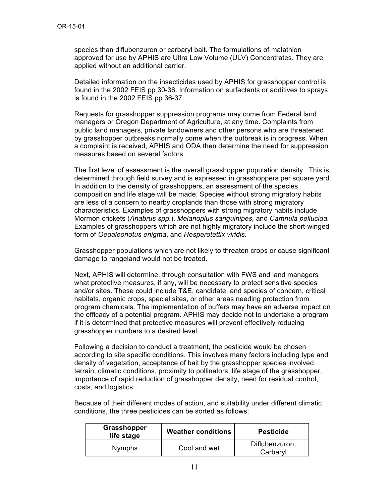species than diflubenzuron or carbaryl bait. The formulations of malathion approved for use by APHIS are Ultra Low Volume (ULV) Concentrates. They are applied without an additional carrier.

Detailed information on the insecticides used by APHIS for grasshopper control is found in the 2002 FEIS pp 30-36. Information on surfactants or additives to sprays is found in the 2002 FEIS pp 36-37.

Requests for grasshopper suppression programs may come from Federal land managers or Oregon Department of Agriculture, at any time. Complaints from public land managers, private landowners and other persons who are threatened by grasshopper outbreaks normally come when the outbreak is in progress. When a complaint is received, APHIS and ODA then determine the need for suppression measures based on several factors.

The first level of assessment is the overall grasshopper population density. This is determined through field survey and is expressed in grasshoppers per square yard. In addition to the density of grasshoppers, an assessment of the species composition and life stage will be made. Species without strong migratory habits are less of a concern to nearby croplands than those with strong migratory characteristics. Examples of grasshoppers with strong migratory habits include Mormon crickets (*Anabrus spp.*), *Melanoplus sanguinipes,* and *Camnula pellucida.* Examples of grasshoppers which are not highly migratory include the short-winged form of *Oedaleonotus enigma*, and *Hesperotettix viridis.*

Grasshopper populations which are not likely to threaten crops or cause significant damage to rangeland would not be treated.

Next, APHIS will determine, through consultation with FWS and land managers what protective measures, if any, will be necessary to protect sensitive species and/or sites. These could include T&E, candidate, and species of concern, critical habitats, organic crops, special sites, or other areas needing protection from program chemicals. The implementation of buffers may have an adverse impact on the efficacy of a potential program. APHIS may decide not to undertake a program if it is determined that protective measures will prevent effectively reducing grasshopper numbers to a desired level.

Following a decision to conduct a treatment, the pesticide would be chosen according to site specific conditions. This involves many factors including type and density of vegetation, acceptance of bait by the grasshopper species involved, terrain, climatic conditions, proximity to pollinators, life stage of the grasshopper, importance of rapid reduction of grasshopper density, need for residual control, costs, and logistics.

Because of their different modes of action, and suitability under different climatic conditions, the three pesticides can be sorted as follows:

| Grasshopper<br>life stage | <b>Weather conditions</b> | <b>Pesticide</b>           |
|---------------------------|---------------------------|----------------------------|
| <b>Nymphs</b>             | Cool and wet              | Diflubenzuron,<br>Carbaryl |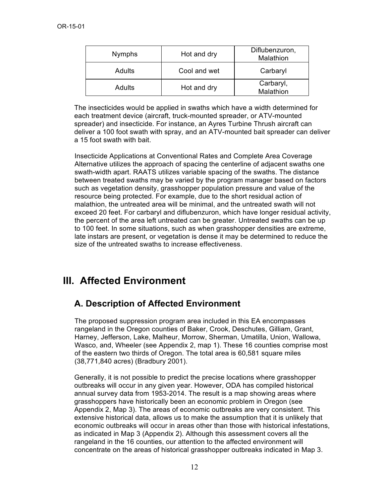| <b>Nymphs</b> | Hot and dry  | Diflubenzuron,<br>Malathion |
|---------------|--------------|-----------------------------|
| Adults        | Cool and wet | Carbaryl                    |
| Adults        | Hot and dry  | Carbaryl,<br>Malathion      |

The insecticides would be applied in swaths which have a width determined for each treatment device (aircraft, truck-mounted spreader, or ATV-mounted spreader) and insecticide. For instance, an Ayres Turbine Thrush aircraft can deliver a 100 foot swath with spray, and an ATV-mounted bait spreader can deliver a 15 foot swath with bait.

Insecticide Applications at Conventional Rates and Complete Area Coverage Alternative utilizes the approach of spacing the centerline of adjacent swaths one swath-width apart. RAATS utilizes variable spacing of the swaths. The distance between treated swaths may be varied by the program manager based on factors such as vegetation density, grasshopper population pressure and value of the resource being protected. For example, due to the short residual action of malathion, the untreated area will be minimal, and the untreated swath will not exceed 20 feet. For carbaryl and diflubenzuron, which have longer residual activity, the percent of the area left untreated can be greater. Untreated swaths can be up to 100 feet. In some situations, such as when grasshopper densities are extreme, late instars are present, or vegetation is dense it may be determined to reduce the size of the untreated swaths to increase effectiveness.

# **III. Affected Environment**

# **A. Description of Affected Environment**

The proposed suppression program area included in this EA encompasses rangeland in the Oregon counties of Baker, Crook, Deschutes, Gilliam, Grant, Harney, Jefferson, Lake, Malheur, Morrow, Sherman, Umatilla, Union, Wallowa, Wasco, and, Wheeler (see Appendix 2, map 1). These 16 counties comprise most of the eastern two thirds of Oregon. The total area is 60,581 square miles (38,771,840 acres) (Bradbury 2001).

Generally, it is not possible to predict the precise locations where grasshopper outbreaks will occur in any given year. However, ODA has compiled historical annual survey data from 1953-2014. The result is a map showing areas where grasshoppers have historically been an economic problem in Oregon (see Appendix 2, Map 3). The areas of economic outbreaks are very consistent. This extensive historical data, allows us to make the assumption that it is unlikely that economic outbreaks will occur in areas other than those with historical infestations, as indicated in Map 3 (Appendix 2). Although this assessment covers all the rangeland in the 16 counties, our attention to the affected environment will concentrate on the areas of historical grasshopper outbreaks indicated in Map 3.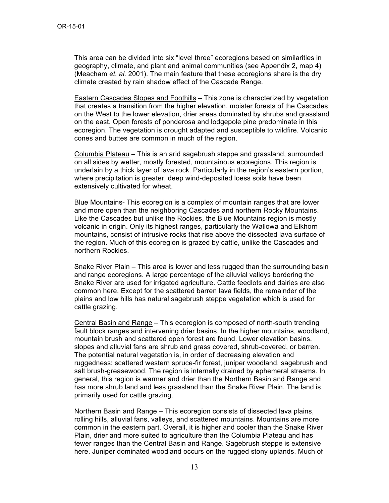This area can be divided into six "level three" ecoregions based on similarities in geography, climate, and plant and animal communities (see Appendix 2, map 4) (Meacham *et. al.* 2001). The main feature that these ecoregions share is the dry climate created by rain shadow effect of the Cascade Range.

Eastern Cascades Slopes and Foothills – This zone is characterized by vegetation that creates a transition from the higher elevation, moister forests of the Cascades on the West to the lower elevation, drier areas dominated by shrubs and grassland on the east. Open forests of ponderosa and lodgepole pine predominate in this ecoregion. The vegetation is drought adapted and susceptible to wildfire. Volcanic cones and buttes are common in much of the region.

Columbia Plateau – This is an arid sagebrush steppe and grassland, surrounded on all sides by wetter, mostly forested, mountainous ecoregions. This region is underlain by a thick layer of lava rock. Particularly in the region's eastern portion, where precipitation is greater, deep wind-deposited loess soils have been extensively cultivated for wheat.

Blue Mountains- This ecoregion is a complex of mountain ranges that are lower and more open than the neighboring Cascades and northern Rocky Mountains. Like the Cascades but unlike the Rockies, the Blue Mountains region is mostly volcanic in origin. Only its highest ranges, particularly the Wallowa and Elkhorn mountains, consist of intrusive rocks that rise above the dissected lava surface of the region. Much of this ecoregion is grazed by cattle, unlike the Cascades and northern Rockies.

Snake River Plain – This area is lower and less rugged than the surrounding basin and range ecoregions. A large percentage of the alluvial valleys bordering the Snake River are used for irrigated agriculture. Cattle feedlots and dairies are also common here. Except for the scattered barren lava fields, the remainder of the plains and low hills has natural sagebrush steppe vegetation which is used for cattle grazing.

Central Basin and Range – This ecoregion is composed of north-south trending fault block ranges and intervening drier basins. In the higher mountains, woodland, mountain brush and scattered open forest are found. Lower elevation basins, slopes and alluvial fans are shrub and grass covered, shrub-covered, or barren. The potential natural vegetation is, in order of decreasing elevation and ruggedness: scattered western spruce-fir forest, juniper woodland, sagebrush and salt brush-greasewood. The region is internally drained by ephemeral streams. In general, this region is warmer and drier than the Northern Basin and Range and has more shrub land and less grassland than the Snake River Plain. The land is primarily used for cattle grazing.

Northern Basin and Range – This ecoregion consists of dissected lava plains, rolling hills, alluvial fans, valleys, and scattered mountains. Mountains are more common in the eastern part. Overall, it is higher and cooler than the Snake River Plain, drier and more suited to agriculture than the Columbia Plateau and has fewer ranges than the Central Basin and Range. Sagebrush steppe is extensive here. Juniper dominated woodland occurs on the rugged stony uplands. Much of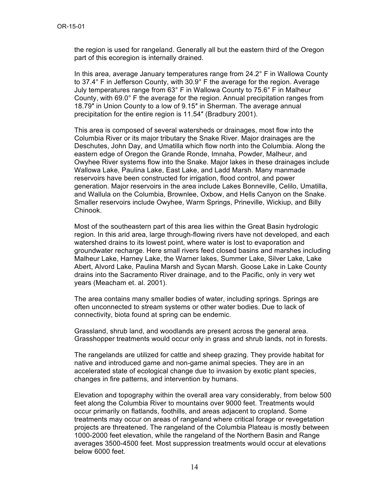the region is used for rangeland. Generally all but the eastern third of the Oregon part of this ecoregion is internally drained.

In this area, average January temperatures range from 24.2° F in Wallowa County to 37.4° F in Jefferson County, with 30.9° F the average for the region. Average July temperatures range from 63° F in Wallowa County to 75.6° F in Malheur County, with 69.0° F the average for the region. Annual precipitation ranges from 18.79″ in Union County to a low of 9.15″ in Sherman. The average annual precipitation for the entire region is 11.54″ (Bradbury 2001).

This area is composed of several watersheds or drainages, most flow into the Columbia River or its major tributary the Snake River. Major drainages are the Deschutes, John Day, and Umatilla which flow north into the Columbia. Along the eastern edge of Oregon the Grande Ronde, Imnaha, Powder, Malheur, and Owyhee River systems flow into the Snake. Major lakes in these drainages include Wallowa Lake, Paulina Lake, East Lake, and Ladd Marsh. Many manmade reservoirs have been constructed for irrigation, flood control, and power generation. Major reservoirs in the area include Lakes Bonneville, Celilo, Umatilla, and Wallula on the Columbia, Brownlee, Oxbow, and Hells Canyon on the Snake. Smaller reservoirs include Owyhee, Warm Springs, Prineville, Wickiup, and Billy Chinook.

Most of the southeastern part of this area lies within the Great Basin hydrologic region. In this arid area, large through-flowing rivers have not developed, and each watershed drains to its lowest point, where water is lost to evaporation and groundwater recharge. Here small rivers feed closed basins and marshes including Malheur Lake, Harney Lake, the Warner lakes, Summer Lake, Silver Lake, Lake Abert, Alvord Lake, Paulina Marsh and Sycan Marsh. Goose Lake in Lake County drains into the Sacramento River drainage, and to the Pacific, only in very wet years (Meacham et. al. 2001).

The area contains many smaller bodies of water, including springs. Springs are often unconnected to stream systems or other water bodies. Due to lack of connectivity, biota found at spring can be endemic.

Grassland, shrub land, and woodlands are present across the general area. Grasshopper treatments would occur only in grass and shrub lands, not in forests.

The rangelands are utilized for cattle and sheep grazing. They provide habitat for native and introduced game and non-game animal species. They are in an accelerated state of ecological change due to invasion by exotic plant species, changes in fire patterns, and intervention by humans.

Elevation and topography within the overall area vary considerably, from below 500 feet along the Columbia River to mountains over 9000 feet. Treatments would occur primarily on flatlands, foothills, and areas adjacent to cropland. Some treatments may occur on areas of rangeland where critical forage or revegetation projects are threatened. The rangeland of the Columbia Plateau is mostly between 1000-2000 feet elevation, while the rangeland of the Northern Basin and Range averages 3500-4500 feet. Most suppression treatments would occur at elevations below 6000 feet.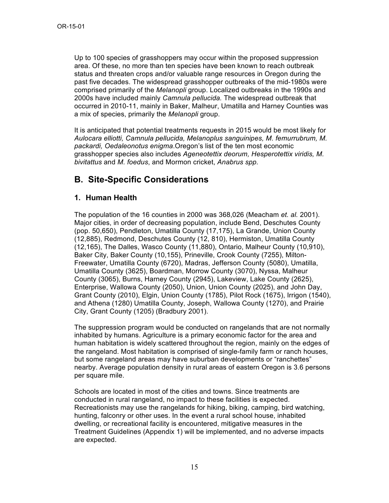Up to 100 species of grasshoppers may occur within the proposed suppression area. Of these, no more than ten species have been known to reach outbreak status and threaten crops and/or valuable range resources in Oregon during the past five decades. The widespread grasshopper outbreaks of the mid-1980s were comprised primarily of the *Melanopli* group. Localized outbreaks in the 1990s and 2000s have included mainly *Camnula pellucida.* The widespread outbreak that occurred in 2010-11, mainly in Baker, Malheur, Umatilla and Harney Counties was a mix of species, primarily the *Melanopli* group.

It is anticipated that potential treatments requests in 2015 would be most likely for *Aulocara elliotti, Camnula pellucida, Melanoplus sanguinipes, M. femurrubrum, M. packardi, Oedaleonotus enigma*.Oregon's list of the ten most economic grasshopper species also includes *Ageneotettix deorum, Hesperotettix viridis, M. bivitattus* and *M. foedus*, and Mormon cricket, *Anabrus spp.*

## **B. Site-Specific Considerations**

#### **1. Human Health**

The population of the 16 counties in 2000 was 368,026 (Meacham *et. al.* 2001). Major cities, in order of decreasing population, include Bend, Deschutes County (pop. 50,650), Pendleton, Umatilla County (17,175), La Grande, Union County (12,885), Redmond, Deschutes County (12, 810), Hermiston, Umatilla County (12,165), The Dalles, Wasco County (11,880), Ontario, Malheur County (10,910), Baker City, Baker County (10,155), Prineville, Crook County (7255), Milton-Freewater, Umatilla County (6720), Madras, Jefferson County (5080), Umatilla, Umatilla County (3625), Boardman, Morrow County (3070), Nyssa, Malheur County (3065), Burns, Harney County (2945), Lakeview, Lake County (2625), Enterprise, Wallowa County (2050), Union, Union County (2025), and John Day, Grant County (2010), Elgin, Union County (1785), Pilot Rock (1675), Irrigon (1540), and Athena (1280) Umatilla County, Joseph, Wallowa County (1270), and Prairie City, Grant County (1205) (Bradbury 2001).

The suppression program would be conducted on rangelands that are not normally inhabited by humans. Agriculture is a primary economic factor for the area and human habitation is widely scattered throughout the region, mainly on the edges of the rangeland. Most habitation is comprised of single-family farm or ranch houses, but some rangeland areas may have suburban developments or "ranchettes" nearby. Average population density in rural areas of eastern Oregon is 3.6 persons per square mile.

Schools are located in most of the cities and towns. Since treatments are conducted in rural rangeland, no impact to these facilities is expected. Recreationists may use the rangelands for hiking, biking, camping, bird watching, hunting, falconry or other uses. In the event a rural school house, inhabited dwelling, or recreational facility is encountered, mitigative measures in the Treatment Guidelines (Appendix 1) will be implemented, and no adverse impacts are expected.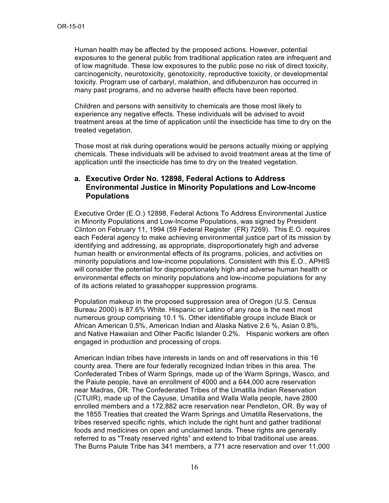Human health may be affected by the proposed actions. However, potential exposures to the general public from traditional application rates are infrequent and of low magnitude. These low exposures to the public pose no risk of direct toxicity, carcinogenicity, neurotoxicity, genotoxicity, reproductive toxicity, or developmental toxicity. Program use of carbaryl, malathion, and diflubenzuron has occurred in many past programs, and no adverse health effects have been reported.

Children and persons with sensitivity to chemicals are those most likely to experience any negative effects. These individuals will be advised to avoid treatment areas at the time of application until the insecticide has time to dry on the treated vegetation.

Those most at risk during operations would be persons actually mixing or applying chemicals. These individuals will be advised to avoid treatment areas at the time of application until the insecticide has time to dry on the treated vegetation.

#### **a. Executive Order No. 12898, Federal Actions to Address Environmental Justice in Minority Populations and Low-Income Populations**

Executive Order (E.O.) 12898, Federal Actions To Address Environmental Justice in Minority Populations and Low-Income Populations, was signed by President Clinton on February 11, 1994 (59 Federal Register (FR) 7269). This E.O. requires each Federal agency to make achieving environmental justice part of its mission by identifying and addressing, as appropriate, disproportionately high and adverse human health or environmental effects of its programs, policies, and activities on minority populations and low-income populations. Consistent with this E.O., APHIS will consider the potential for disproportionately high and adverse human health or environmental effects on minority populations and low-income populations for any of its actions related to grasshopper suppression programs.

Population makeup in the proposed suppression area of Oregon (U.S. Census Bureau 2000) is 87.6% White. Hispanic or Latino of any race is the next most numerous group comprising 10.1 %. Other identifiable groups include Black or African American 0.5%, American Indian and Alaska Native 2.6 %, Asian 0.8%, and Native Hawaiian and Other Pacific Islander 0.2%. Hispanic workers are often engaged in production and processing of crops.

American Indian tribes have interests in lands on and off reservations in this 16 county area. There are four federally recognized Indian tribes in this area. The Confederated Tribes of Warm Springs, made up of the Warm Springs, Wasco, and the Paiute people, have an enrollment of 4000 and a 644,000 acre reservation near Madras, OR. The Confederated Tribes of the Umatilla Indian Reservation (CTUIR), made up of the Cayuse, Umatilla and Walla Walla people, have 2800 enrolled members and a 172,882 acre reservation near Pendleton, OR. By way of the 1855 Treaties that created the Warm Springs and Umatilla Reservations, the tribes reserved specific rights, which include the right hunt and gather traditional foods and medicines on open and unclaimed lands. These rights are generally referred to as "Treaty reserved rights" and extend to tribal traditional use areas. The Burns Paiute Tribe has 341 members, a 771 acre reservation and over 11,000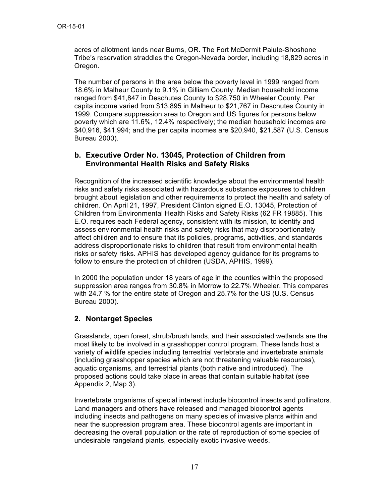acres of allotment lands near Burns, OR. The Fort McDermit Paiute-Shoshone Tribe's reservation straddles the Oregon-Nevada border, including 18,829 acres in Oregon.

The number of persons in the area below the poverty level in 1999 ranged from 18.6% in Malheur County to 9.1% in Gilliam County. Median household income ranged from \$41,847 in Deschutes County to \$28,750 in Wheeler County. Per capita income varied from \$13,895 in Malheur to \$21,767 in Deschutes County in 1999. Compare suppression area to Oregon and US figures for persons below poverty which are 11.6%, 12.4% respectively; the median household incomes are \$40,916, \$41,994; and the per capita incomes are \$20,940, \$21,587 (U.S. Census Bureau 2000).

#### **b. Executive Order No. 13045, Protection of Children from Environmental Health Risks and Safety Risks**

Recognition of the increased scientific knowledge about the environmental health risks and safety risks associated with hazardous substance exposures to children brought about legislation and other requirements to protect the health and safety of children. On April 21, 1997, President Clinton signed E.O. 13045, Protection of Children from Environmental Health Risks and Safety Risks (62 FR 19885). This E.O. requires each Federal agency, consistent with its mission, to identify and assess environmental health risks and safety risks that may disproportionately affect children and to ensure that its policies, programs, activities, and standards address disproportionate risks to children that result from environmental health risks or safety risks. APHIS has developed agency guidance for its programs to follow to ensure the protection of children (USDA, APHIS, 1999).

In 2000 the population under 18 years of age in the counties within the proposed suppression area ranges from 30.8% in Morrow to 22.7% Wheeler. This compares with 24.7 % for the entire state of Oregon and 25.7% for the US (U.S. Census Bureau 2000).

### **2. Nontarget Species**

Grasslands, open forest, shrub/brush lands, and their associated wetlands are the most likely to be involved in a grasshopper control program. These lands host a variety of wildlife species including terrestrial vertebrate and invertebrate animals (including grasshopper species which are not threatening valuable resources), aquatic organisms, and terrestrial plants (both native and introduced). The proposed actions could take place in areas that contain suitable habitat (see Appendix 2, Map 3).

Invertebrate organisms of special interest include biocontrol insects and pollinators. Land managers and others have released and managed biocontrol agents including insects and pathogens on many species of invasive plants within and near the suppression program area. These biocontrol agents are important in decreasing the overall population or the rate of reproduction of some species of undesirable rangeland plants, especially exotic invasive weeds.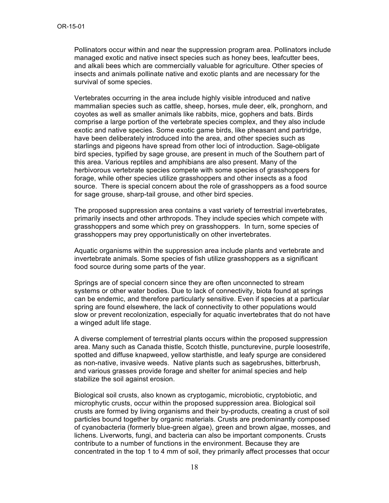Pollinators occur within and near the suppression program area. Pollinators include managed exotic and native insect species such as honey bees, leafcutter bees, and alkali bees which are commercially valuable for agriculture. Other species of insects and animals pollinate native and exotic plants and are necessary for the survival of some species.

Vertebrates occurring in the area include highly visible introduced and native mammalian species such as cattle, sheep, horses, mule deer, elk, pronghorn, and coyotes as well as smaller animals like rabbits, mice, gophers and bats. Birds comprise a large portion of the vertebrate species complex, and they also include exotic and native species. Some exotic game birds, like pheasant and partridge, have been deliberately introduced into the area, and other species such as starlings and pigeons have spread from other loci of introduction. Sage-obligate bird species, typified by sage grouse, are present in much of the Southern part of this area. Various reptiles and amphibians are also present. Many of the herbivorous vertebrate species compete with some species of grasshoppers for forage, while other species utilize grasshoppers and other insects as a food source. There is special concern about the role of grasshoppers as a food source for sage grouse, sharp-tail grouse, and other bird species.

The proposed suppression area contains a vast variety of terrestrial invertebrates, primarily insects and other arthropods. They include species which compete with grasshoppers and some which prey on grasshoppers. In turn, some species of grasshoppers may prey opportunistically on other invertebrates.

Aquatic organisms within the suppression area include plants and vertebrate and invertebrate animals. Some species of fish utilize grasshoppers as a significant food source during some parts of the year.

Springs are of special concern since they are often unconnected to stream systems or other water bodies. Due to lack of connectivity, biota found at springs can be endemic, and therefore particularly sensitive. Even if species at a particular spring are found elsewhere, the lack of connectivity to other populations would slow or prevent recolonization, especially for aquatic invertebrates that do not have a winged adult life stage.

A diverse complement of terrestrial plants occurs within the proposed suppression area. Many such as Canada thistle, Scotch thistle, puncturevine, purple loosestrife, spotted and diffuse knapweed, yellow starthistle, and leafy spurge are considered as non-native, invasive weeds. Native plants such as sagebrushes, bitterbrush, and various grasses provide forage and shelter for animal species and help stabilize the soil against erosion.

Biological soil crusts, also known as cryptogamic, microbiotic, cryptobiotic, and microphytic crusts, occur within the proposed suppression area. Biological soil crusts are formed by living organisms and their by-products, creating a crust of soil particles bound together by organic materials. Crusts are predominantly composed of cyanobacteria (formerly blue-green algae), green and brown algae, mosses, and lichens. Liverworts, fungi, and bacteria can also be important components. Crusts contribute to a number of functions in the environment. Because they are concentrated in the top 1 to 4 mm of soil, they primarily affect processes that occur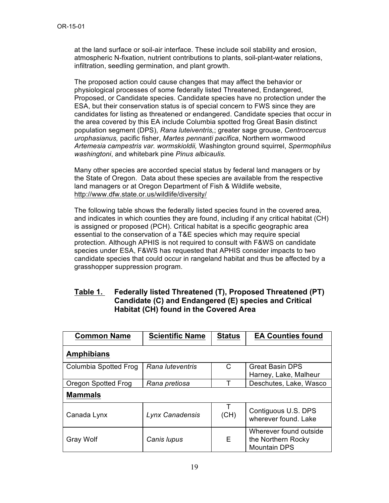at the land surface or soil-air interface. These include soil stability and erosion, atmospheric N-fixation, nutrient contributions to plants, soil-plant-water relations, infiltration, seedling germination, and plant growth.

The proposed action could cause changes that may affect the behavior or physiological processes of some federally listed Threatened, Endangered, Proposed, or Candidate species. Candidate species have no protection under the ESA, but their conservation status is of special concern to FWS since they are candidates for listing as threatened or endangered. Candidate species that occur in the area covered by this EA include Columbia spotted frog Great Basin distinct population segment (DPS), *Rana luteiventris,*; greater sage grouse, *Centrocercus urophasianus,* pacific fisher, *Martes pennanti pacifica*, Northern wormwood *Artemesia campestris var. wormskioldii,* Washington ground squirrel, *Spermophilus washingtoni*, and whitebark pine *Pinus albicaulis.*

Many other species are accorded special status by federal land managers or by the State of Oregon. Data about these species are available from the respective land managers or at Oregon Department of Fish & Wildlife website, http://www.dfw.state.or.us/wildlife/diversity/

The following table shows the federally listed species found in the covered area, and indicates in which counties they are found, including if any critical habitat (CH) is assigned or proposed (PCH). Critical habitat is a specific geographic area essential to the conservation of a T&E species which may require special protection. Although APHIS is not required to consult with F&WS on candidate species under ESA, F&WS has requested that APHIS consider impacts to two candidate species that could occur in rangeland habitat and thus be affected by a grasshopper suppression program.

### **Table 1. Federally listed Threatened (T), Proposed Threatened (PT) Candidate (C) and Endangered (E) species and Critical Habitat (CH) found in the Covered Area**

| <b>Common Name</b>                        | <b>Scientific Name</b> | <b>Status</b> | <b>EA Counties found</b>                                            |  |  |
|-------------------------------------------|------------------------|---------------|---------------------------------------------------------------------|--|--|
| <b>Amphibians</b>                         |                        |               |                                                                     |  |  |
| Rana luteventris<br>Columbia Spotted Frog |                        | С             | <b>Great Basin DPS</b><br>Harney, Lake, Malheur                     |  |  |
| Oregon Spotted Frog<br>Rana pretiosa      |                        | т             | Deschutes, Lake, Wasco                                              |  |  |
| <b>Mammals</b>                            |                        |               |                                                                     |  |  |
| Canada Lynx                               | Lynx Canadensis        | т<br>(CH)     | Contiguous U.S. DPS<br>wherever found. Lake                         |  |  |
| Canis lupus<br><b>Gray Wolf</b>           |                        | Е             | Wherever found outside<br>the Northern Rocky<br><b>Mountain DPS</b> |  |  |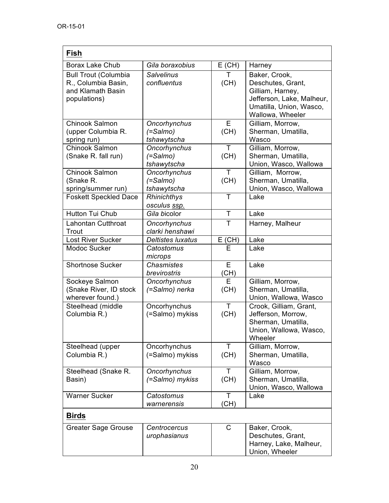| Fish                          |                              |          |                             |  |  |
|-------------------------------|------------------------------|----------|-----------------------------|--|--|
| <b>Borax Lake Chub</b>        | Gila boraxobius<br>$E$ (CH)  |          | Harney                      |  |  |
| <b>Bull Trout (Columbia</b>   | <b>Salvelinus</b><br>т       |          | Baker, Crook,               |  |  |
| R., Columbia Basin,           | confluentus                  | (CH)     | Deschutes, Grant,           |  |  |
| and Klamath Basin             |                              |          | Gilliam, Harney,            |  |  |
| populations)                  |                              |          | Jefferson, Lake, Malheur,   |  |  |
|                               |                              |          | Umatilla, Union, Wasco,     |  |  |
|                               |                              |          | Wallowa, Wheeler            |  |  |
| Chinook Salmon                | Oncorhynchus                 | E        | Gilliam, Morrow,            |  |  |
| (upper Columbia R.            | (=Salmo)                     | (CH)     | Sherman, Umatilla,<br>Wasco |  |  |
| spring run)<br>Chinook Salmon | tshawytscha<br>Oncorhynchus  | Τ        | Gilliam, Morrow,            |  |  |
| (Snake R. fall run)           | (=Salmo)                     | (CH)     | Sherman, Umatilla,          |  |  |
|                               | tshawytscha                  |          | Union, Wasco, Wallowa       |  |  |
| Chinook Salmon                | Oncorhynchus                 | T        | Gilliam, Morrow,            |  |  |
| (Snake R.                     | $( =$ Salmo $)$              | (CH)     | Sherman, Umatilla,          |  |  |
| spring/summer run)            | tshawytscha                  |          | Union, Wasco, Wallowa       |  |  |
| <b>Foskett Speckled Dace</b>  | Rhinichthys                  | Τ        | Lake                        |  |  |
|                               | osculus ssp.                 |          |                             |  |  |
| Hutton Tui Chub               | Gila bicolor                 | T        | Lake                        |  |  |
| Lahontan Cutthroat            | Oncorhynchus                 | Τ        | Harney, Malheur             |  |  |
| Trout                         | clarki henshawi              |          |                             |  |  |
| <b>Lost River Sucker</b>      | <b>Deltistes luxatus</b>     | $E$ (CH) | Lake                        |  |  |
| Modoc Sucker                  | Catostomus                   | Е        | Lake                        |  |  |
| <b>Shortnose Sucker</b>       | microps<br><b>Chasmistes</b> | E        | Lake                        |  |  |
|                               | brevirostris                 | (CH)     |                             |  |  |
| Sockeye Salmon                | Oncorhynchus                 | E        | Gilliam, Morrow,            |  |  |
| (Snake River, ID stock        | (=Salmo) nerka               | (CH)     | Sherman, Umatilla,          |  |  |
| wherever found.)              |                              |          | Union, Wallowa, Wasco       |  |  |
| Steelhead (middle             | Oncorhynchus                 | T        | Crook, Gilliam, Grant,      |  |  |
| Columbia R.)                  | (=Salmo) mykiss              | (CH)     | Jefferson, Morrow,          |  |  |
|                               |                              |          | Sherman, Umatilla,          |  |  |
|                               |                              |          | Union, Wallowa, Wasco,      |  |  |
|                               |                              |          | Wheeler                     |  |  |
| Steelhead (upper              | Oncorhynchus                 | Τ        | Gilliam, Morrow,            |  |  |
| Columbia R.)                  | (=Salmo) mykiss              | (CH)     | Sherman, Umatilla,<br>Wasco |  |  |
| Steelhead (Snake R.           | Oncorhynchus                 | T.       | Gilliam, Morrow,            |  |  |
| Basin)                        | (=Salmo) mykiss              | (CH)     | Sherman, Umatilla,          |  |  |
|                               |                              |          | Union, Wasco, Wallowa       |  |  |
| <b>Warner Sucker</b>          | Catostomus                   | T        | Lake                        |  |  |
|                               | warnerensis                  | (CH)     |                             |  |  |
| <b>Birds</b>                  |                              |          |                             |  |  |
| Greater Sage Grouse           | Centrocercus                 | C        | Baker, Crook,               |  |  |
|                               | urophasianus                 |          | Deschutes, Grant,           |  |  |
|                               |                              |          | Harney, Lake, Malheur,      |  |  |
|                               |                              |          | Union, Wheeler              |  |  |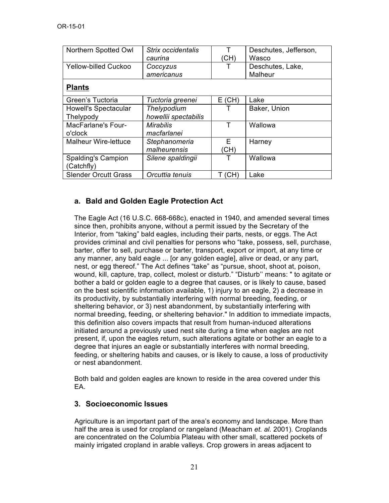| Northern Spotted Owl        | Strix occidentalis   | т        | Deschutes, Jefferson, |
|-----------------------------|----------------------|----------|-----------------------|
|                             | caurina              |          | Wasco                 |
| <b>Yellow-billed Cuckoo</b> | Coccyzus             |          | Deschutes, Lake,      |
|                             | americanus           |          | Malheur               |
| <b>Plants</b>               |                      |          |                       |
| Green's Tuctoria            | Tuctoria greenei     | $E$ (CH) | Lake                  |
| Howell's Spectacular        | Thelypodium          |          | Baker, Union          |
| Thelypody                   | howellii spectabilis |          |                       |
| <b>MacFarlane's Four-</b>   | Mirabilis            | т        | Wallowa               |
| o'clock                     | macfarlanei          |          |                       |
| <b>Malheur Wire-lettuce</b> | Stephanomeria        | F        | Harney                |
|                             | malheurensis         | (CH)     |                       |
| <b>Spalding's Campion</b>   | Silene spaldingii    |          | Wallowa               |
| (Catchfly)                  |                      |          |                       |
| <b>Slender Orcutt Grass</b> | Orcuttia tenuis      | (CH)     | Lake                  |

### **a. Bald and Golden Eagle Protection Act**

The Eagle Act (16 U.S.C. 668-668c), enacted in 1940, and amended several times since then, prohibits anyone, without a permit issued by the Secretary of the Interior, from "taking" bald eagles, including their parts, nests, or eggs. The Act provides criminal and civil penalties for persons who "take, possess, sell, purchase, barter, offer to sell, purchase or barter, transport, export or import, at any time or any manner, any bald eagle ... [or any golden eagle], alive or dead, or any part, nest, or egg thereof." The Act defines "take" as "pursue, shoot, shoot at, poison, wound, kill, capture, trap, collect, molest or disturb." "Disturb'' means: " to agitate or bother a bald or golden eagle to a degree that causes, or is likely to cause, based on the best scientific information available, 1) injury to an eagle, 2) a decrease in its productivity, by substantially interfering with normal breeding, feeding, or sheltering behavior, or 3) nest abandonment, by substantially interfering with normal breeding, feeding, or sheltering behavior." In addition to immediate impacts, this definition also covers impacts that result from human-induced alterations initiated around a previously used nest site during a time when eagles are not present, if, upon the eagles return, such alterations agitate or bother an eagle to a degree that injures an eagle or substantially interferes with normal breeding, feeding, or sheltering habits and causes, or is likely to cause, a loss of productivity or nest abandonment.

Both bald and golden eagles are known to reside in the area covered under this EA.

#### **3. Socioeconomic Issues**

Agriculture is an important part of the area's economy and landscape. More than half the area is used for cropland or rangeland (Meacham *et. al.* 2001). Croplands are concentrated on the Columbia Plateau with other small, scattered pockets of mainly irrigated cropland in arable valleys. Crop growers in areas adjacent to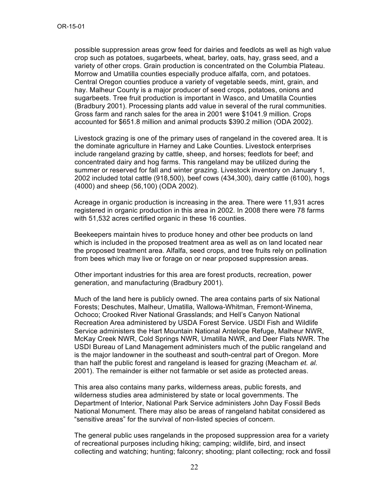possible suppression areas grow feed for dairies and feedlots as well as high value crop such as potatoes, sugarbeets, wheat, barley, oats, hay, grass seed, and a variety of other crops. Grain production is concentrated on the Columbia Plateau. Morrow and Umatilla counties especially produce alfalfa, corn, and potatoes. Central Oregon counties produce a variety of vegetable seeds, mint, grain, and hay. Malheur County is a major producer of seed crops, potatoes, onions and sugarbeets. Tree fruit production is important in Wasco, and Umatilla Counties (Bradbury 2001). Processing plants add value in several of the rural communities. Gross farm and ranch sales for the area in 2001 were \$1041.9 million. Crops accounted for \$651.8 million and animal products \$390.2 million (ODA 2002).

Livestock grazing is one of the primary uses of rangeland in the covered area. It is the dominate agriculture in Harney and Lake Counties. Livestock enterprises include rangeland grazing by cattle, sheep, and horses; feedlots for beef; and concentrated dairy and hog farms. This rangeland may be utilized during the summer or reserved for fall and winter grazing. Livestock inventory on January 1, 2002 included total cattle (918,500), beef cows (434,300), dairy cattle (6100), hogs (4000) and sheep (56,100) (ODA 2002).

Acreage in organic production is increasing in the area. There were 11,931 acres registered in organic production in this area in 2002. In 2008 there were 78 farms with 51,532 acres certified organic in these 16 counties.

Beekeepers maintain hives to produce honey and other bee products on land which is included in the proposed treatment area as well as on land located near the proposed treatment area. Alfalfa, seed crops, and tree fruits rely on pollination from bees which may live or forage on or near proposed suppression areas.

Other important industries for this area are forest products, recreation, power generation, and manufacturing (Bradbury 2001).

Much of the land here is publicly owned. The area contains parts of six National Forests; Deschutes, Malheur, Umatilla, Wallowa-Whitman, Fremont-Winema, Ochoco; Crooked River National Grasslands; and Hell's Canyon National Recreation Area administered by USDA Forest Service. USDI Fish and Wildlife Service administers the Hart Mountain National Antelope Refuge, Malheur NWR, McKay Creek NWR, Cold Springs NWR, Umatilla NWR, and Deer Flats NWR. The USDI Bureau of Land Management administers much of the public rangeland and is the major landowner in the southeast and south-central part of Oregon. More than half the public forest and rangeland is leased for grazing (Meacham *et. al.* 2001). The remainder is either not farmable or set aside as protected areas.

This area also contains many parks, wilderness areas, public forests, and wilderness studies area administered by state or local governments. The Department of Interior, National Park Service administers John Day Fossil Beds National Monument. There may also be areas of rangeland habitat considered as "sensitive areas" for the survival of non-listed species of concern.

The general public uses rangelands in the proposed suppression area for a variety of recreational purposes including hiking; camping; wildlife, bird, and insect collecting and watching; hunting; falconry; shooting; plant collecting; rock and fossil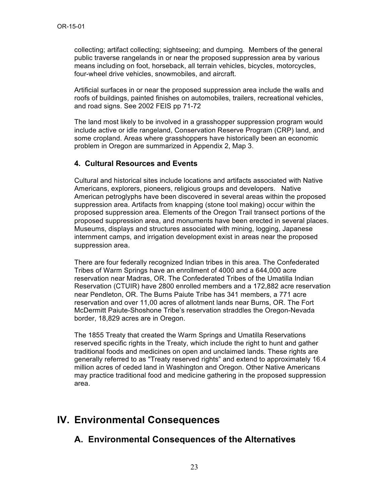collecting; artifact collecting; sightseeing; and dumping. Members of the general public traverse rangelands in or near the proposed suppression area by various means including on foot, horseback, all terrain vehicles, bicycles, motorcycles, four-wheel drive vehicles, snowmobiles, and aircraft.

Artificial surfaces in or near the proposed suppression area include the walls and roofs of buildings, painted finishes on automobiles, trailers, recreational vehicles, and road signs. See 2002 FEIS pp 71-72

The land most likely to be involved in a grasshopper suppression program would include active or idle rangeland, Conservation Reserve Program (CRP) land, and some cropland. Areas where grasshoppers have historically been an economic problem in Oregon are summarized in Appendix 2, Map 3.

#### **4. Cultural Resources and Events**

Cultural and historical sites include locations and artifacts associated with Native Americans, explorers, pioneers, religious groups and developers. Native American petroglyphs have been discovered in several areas within the proposed suppression area. Artifacts from knapping (stone tool making) occur within the proposed suppression area. Elements of the Oregon Trail transect portions of the proposed suppression area, and monuments have been erected in several places. Museums, displays and structures associated with mining, logging, Japanese internment camps, and irrigation development exist in areas near the proposed suppression area.

There are four federally recognized Indian tribes in this area. The Confederated Tribes of Warm Springs have an enrollment of 4000 and a 644,000 acre reservation near Madras, OR. The Confederated Tribes of the Umatilla Indian Reservation (CTUIR) have 2800 enrolled members and a 172,882 acre reservation near Pendleton, OR. The Burns Paiute Tribe has 341 members, a 771 acre reservation and over 11,00 acres of allotment lands near Burns, OR. The Fort McDermitt Paiute-Shoshone Tribe's reservation straddles the Oregon-Nevada border, 18,829 acres are in Oregon.

The 1855 Treaty that created the Warm Springs and Umatilla Reservations reserved specific rights in the Treaty, which include the right to hunt and gather traditional foods and medicines on open and unclaimed lands. These rights are generally referred to as "Treaty reserved rights" and extend to approximately 16.4 million acres of ceded land in Washington and Oregon. Other Native Americans may practice traditional food and medicine gathering in the proposed suppression area.

# **IV. Environmental Consequences**

### **A. Environmental Consequences of the Alternatives**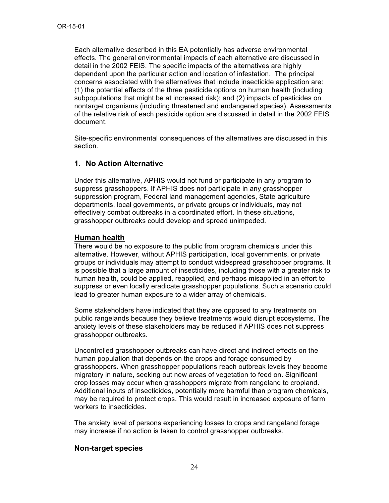Each alternative described in this EA potentially has adverse environmental effects. The general environmental impacts of each alternative are discussed in detail in the 2002 FEIS. The specific impacts of the alternatives are highly dependent upon the particular action and location of infestation. The principal concerns associated with the alternatives that include insecticide application are: (1) the potential effects of the three pesticide options on human health (including subpopulations that might be at increased risk); and (2) impacts of pesticides on nontarget organisms (including threatened and endangered species). Assessments of the relative risk of each pesticide option are discussed in detail in the 2002 FEIS document.

Site-specific environmental consequences of the alternatives are discussed in this section.

#### **1. No Action Alternative**

Under this alternative, APHIS would not fund or participate in any program to suppress grasshoppers. If APHIS does not participate in any grasshopper suppression program, Federal land management agencies, State agriculture departments, local governments, or private groups or individuals, may not effectively combat outbreaks in a coordinated effort. In these situations, grasshopper outbreaks could develop and spread unimpeded.

#### **Human health**

There would be no exposure to the public from program chemicals under this alternative. However, without APHIS participation, local governments, or private groups or individuals may attempt to conduct widespread grasshopper programs. It is possible that a large amount of insecticides, including those with a greater risk to human health, could be applied, reapplied, and perhaps misapplied in an effort to suppress or even locally eradicate grasshopper populations. Such a scenario could lead to greater human exposure to a wider array of chemicals.

Some stakeholders have indicated that they are opposed to any treatments on public rangelands because they believe treatments would disrupt ecosystems. The anxiety levels of these stakeholders may be reduced if APHIS does not suppress grasshopper outbreaks.

Uncontrolled grasshopper outbreaks can have direct and indirect effects on the human population that depends on the crops and forage consumed by grasshoppers. When grasshopper populations reach outbreak levels they become migratory in nature, seeking out new areas of vegetation to feed on. Significant crop losses may occur when grasshoppers migrate from rangeland to cropland. Additional inputs of insecticides, potentially more harmful than program chemicals, may be required to protect crops. This would result in increased exposure of farm workers to insecticides.

The anxiety level of persons experiencing losses to crops and rangeland forage may increase if no action is taken to control grasshopper outbreaks.

#### **Non-target species**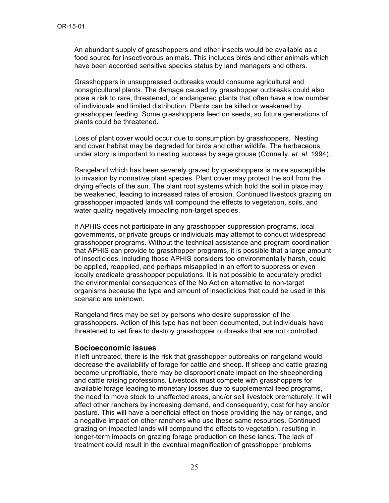An abundant supply of grasshoppers and other insects would be available as a food source for insectivorous animals. This includes birds and other animals which have been accorded sensitive species status by land managers and others.

Grasshoppers in unsuppressed outbreaks would consume agricultural and nonagricultural plants. The damage caused by grasshopper outbreaks could also pose a risk to rare, threatened, or endangered plants that often have a low number of individuals and limited distribution. Plants can be killed or weakened by grasshopper feeding. Some grasshoppers feed on seeds, so future generations of plants could be threatened.

Loss of plant cover would occur due to consumption by grasshoppers. Nesting and cover habitat may be degraded for birds and other wildlife. The herbaceous under story is important to nesting success by sage grouse (Connelly, *et. al*. 1994).

Rangeland which has been severely grazed by grasshoppers is more susceptible to invasion by nonnative plant species. Plant cover may protect the soil from the drying effects of the sun. The plant root systems which hold the soil in place may be weakened, leading to increased rates of erosion. Continued livestock grazing on grasshopper impacted lands will compound the effects to vegetation, soils, and water quality negatively impacting non-target species.

If APHIS does not participate in any grasshopper suppression programs, local governments, or private groups or individuals may attempt to conduct widespread grasshopper programs. Without the technical assistance and program coordination that APHIS can provide to grasshopper programs, it is possible that a large amount of insecticides, including those APHIS considers too environmentally harsh, could be applied, reapplied, and perhaps misapplied in an effort to suppress or even locally eradicate grasshopper populations. It is not possible to accurately predict the environmental consequences of the No Action alternative to non-target organisms because the type and amount of insecticides that could be used in this scenario are unknown.

Rangeland fires may be set by persons who desire suppression of the grasshoppers. Action of this type has not been documented, but individuals have threatened to set fires to destroy grasshopper outbreaks that are not controlled.

#### **Socioeconomic issues**

If left untreated, there is the risk that grasshopper outbreaks on rangeland would decrease the availability of forage for cattle and sheep. If sheep and cattle grazing become unprofitable, there may be disproportionate impact on the sheepherding and cattle raising professions. Livestock must compete with grasshoppers for available forage leading to monetary losses due to supplemental feed programs, the need to move stock to unaffected areas, and/or sell livestock prematurely. It will affect other ranchers by increasing demand, and consequently, cost for hay and/or pasture. This will have a beneficial effect on those providing the hay or range, and a negative impact on other ranchers who use these same resources. Continued grazing on impacted lands will compound the effects to vegetation, resulting in longer-term impacts on grazing forage production on these lands. The lack of treatment could result in the eventual magnification of grasshopper problems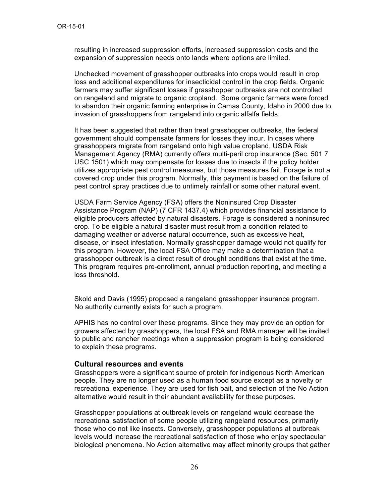resulting in increased suppression efforts, increased suppression costs and the expansion of suppression needs onto lands where options are limited.

Unchecked movement of grasshopper outbreaks into crops would result in crop loss and additional expenditures for insecticidal control in the crop fields. Organic farmers may suffer significant losses if grasshopper outbreaks are not controlled on rangeland and migrate to organic cropland. Some organic farmers were forced to abandon their organic farming enterprise in Camas County, Idaho in 2000 due to invasion of grasshoppers from rangeland into organic alfalfa fields.

It has been suggested that rather than treat grasshopper outbreaks, the federal government should compensate farmers for losses they incur. In cases where grasshoppers migrate from rangeland onto high value cropland, USDA Risk Management Agency (RMA) currently offers multi-peril crop insurance (Sec. 501 7 USC 1501) which may compensate for losses due to insects if the policy holder utilizes appropriate pest control measures, but those measures fail. Forage is not a covered crop under this program. Normally, this payment is based on the failure of pest control spray practices due to untimely rainfall or some other natural event.

USDA Farm Service Agency (FSA) offers the Noninsured Crop Disaster Assistance Program (NAP) (7 CFR 1437.4) which provides financial assistance to eligible producers affected by natural disasters. Forage is considered a noninsured crop. To be eligible a natural disaster must result from a condition related to damaging weather or adverse natural occurrence, such as excessive heat, disease, or insect infestation. Normally grasshopper damage would not qualify for this program. However, the local FSA Office may make a determination that a grasshopper outbreak is a direct result of drought conditions that exist at the time. This program requires pre-enrollment, annual production reporting, and meeting a loss threshold.

Skold and Davis (1995) proposed a rangeland grasshopper insurance program. No authority currently exists for such a program.

APHIS has no control over these programs. Since they may provide an option for growers affected by grasshoppers, the local FSA and RMA manager will be invited to public and rancher meetings when a suppression program is being considered to explain these programs.

#### **Cultural resources and events**

Grasshoppers were a significant source of protein for indigenous North American people. They are no longer used as a human food source except as a novelty or recreational experience. They are used for fish bait, and selection of the No Action alternative would result in their abundant availability for these purposes.

Grasshopper populations at outbreak levels on rangeland would decrease the recreational satisfaction of some people utilizing rangeland resources, primarily those who do not like insects. Conversely, grasshopper populations at outbreak levels would increase the recreational satisfaction of those who enjoy spectacular biological phenomena. No Action alternative may affect minority groups that gather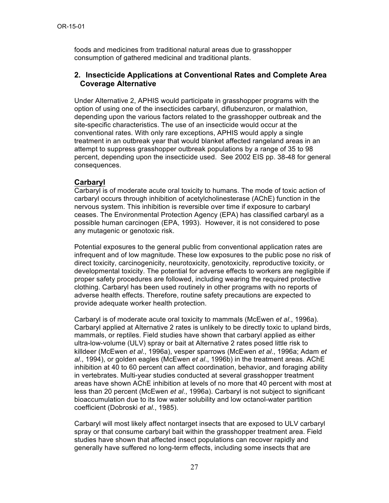foods and medicines from traditional natural areas due to grasshopper consumption of gathered medicinal and traditional plants.

#### **2. Insecticide Applications at Conventional Rates and Complete Area Coverage Alternative**

Under Alternative 2, APHIS would participate in grasshopper programs with the option of using one of the insecticides carbaryl, diflubenzuron, or malathion, depending upon the various factors related to the grasshopper outbreak and the site-specific characteristics. The use of an insecticide would occur at the conventional rates. With only rare exceptions, APHIS would apply a single treatment in an outbreak year that would blanket affected rangeland areas in an attempt to suppress grasshopper outbreak populations by a range of 35 to 98 percent, depending upon the insecticide used. See 2002 EIS pp. 38-48 for general consequences.

#### **Carbaryl**

Carbaryl is of moderate acute oral toxicity to humans. The mode of toxic action of carbaryl occurs through inhibition of acetylcholinesterase (AChE) function in the nervous system. This inhibition is reversible over time if exposure to carbaryl ceases. The Environmental Protection Agency (EPA) has classified carbaryl as a possible human carcinogen (EPA, 1993). However, it is not considered to pose any mutagenic or genotoxic risk.

Potential exposures to the general public from conventional application rates are infrequent and of low magnitude. These low exposures to the public pose no risk of direct toxicity, carcinogenicity, neurotoxicity, genotoxicity, reproductive toxicity, or developmental toxicity. The potential for adverse effects to workers are negligible if proper safety procedures are followed, including wearing the required protective clothing. Carbaryl has been used routinely in other programs with no reports of adverse health effects. Therefore, routine safety precautions are expected to provide adequate worker health protection.

Carbaryl is of moderate acute oral toxicity to mammals (McEwen *et al*., 1996a). Carbaryl applied at Alternative 2 rates is unlikely to be directly toxic to upland birds, mammals, or reptiles. Field studies have shown that carbaryl applied as either ultra-low-volume (ULV) spray or bait at Alternative 2 rates posed little risk to killdeer (McEwen *et al*., 1996a), vesper sparrows (McEwen *et al*., 1996a; Adam *et al*., 1994), or golden eagles (McEwen *et al*., 1996b) in the treatment areas. AChE inhibition at 40 to 60 percent can affect coordination, behavior, and foraging ability in vertebrates. Multi-year studies conducted at several grasshopper treatment areas have shown AChE inhibition at levels of no more that 40 percent with most at less than 20 percent (McEwen *et al*., 1996a). Carbaryl is not subject to significant bioaccumulation due to its low water solubility and low octanol-water partition coefficient (Dobroski *et al*., 1985).

Carbaryl will most likely affect nontarget insects that are exposed to ULV carbaryl spray or that consume carbaryl bait within the grasshopper treatment area. Field studies have shown that affected insect populations can recover rapidly and generally have suffered no long-term effects, including some insects that are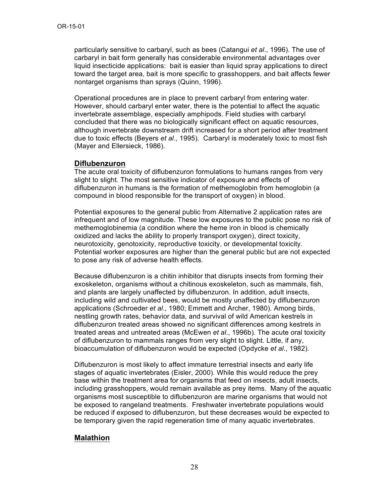particularly sensitive to carbaryl, such as bees (Catangui *et al*., 1996). The use of carbaryl in bait form generally has considerable environmental advantages over liquid insecticide applications: bait is easier than liquid spray applications to direct toward the target area, bait is more specific to grasshoppers, and bait affects fewer nontarget organisms than sprays (Quinn, 1996).

Operational procedures are in place to prevent carbaryl from entering water. However, should carbaryl enter water, there is the potential to affect the aquatic invertebrate assemblage, especially amphipods. Field studies with carbaryl concluded that there was no biologically significant effect on aquatic resources, although invertebrate downstream drift increased for a short period after treatment due to toxic effects (Beyers *et al*., 1995). Carbaryl is moderately toxic to most fish (Mayer and Ellersieck, 1986).

#### **Diflubenzuron**

The acute oral toxicity of diflubenzuron formulations to humans ranges from very slight to slight. The most sensitive indicator of exposure and effects of diflubenzuron in humans is the formation of methemoglobin from hemoglobin (a compound in blood responsible for the transport of oxygen) in blood.

Potential exposures to the general public from Alternative 2 application rates are infrequent and of low magnitude. These low exposures to the public pose no risk of methemoglobinemia (a condition where the heme iron in blood is chemically oxidized and lacks the ability to properly transport oxygen), direct toxicity, neurotoxicity, genotoxicity, reproductive toxicity, or developmental toxicity. Potential worker exposures are higher than the general public but are not expected to pose any risk of adverse health effects.

Because diflubenzuron is a chitin inhibitor that disrupts insects from forming their exoskeleton, organisms without a chitinous exoskeleton, such as mammals, fish, and plants are largely unaffected by diflubenzuron. In addition, adult insects, including wild and cultivated bees, would be mostly unaffected by diflubenzuron applications (Schroeder *et al*., 1980; Emmett and Archer, 1980). Among birds, nestling growth rates, behavior data, and survival of wild American kestrels in diflubenzuron treated areas showed no significant differences among kestrels in treated areas and untreated areas (McEwen *et al*., 1996b). The acute oral toxicity of diflubenzuron to mammals ranges from very slight to slight. Little, if any, bioaccumulation of diflubenzuron would be expected (Opdycke *et al*., 1982).

Diflubenzuron is most likely to affect immature terrestrial insects and early life stages of aquatic invertebrates (Eisler, 2000). While this would reduce the prey base within the treatment area for organisms that feed on insects, adult insects, including grasshoppers, would remain available as prey items. Many of the aquatic organisms most susceptible to diflubenzuron are marine organisms that would not be exposed to rangeland treatments. Freshwater invertebrate populations would be reduced if exposed to diflubenzuron, but these decreases would be expected to be temporary given the rapid regeneration time of many aquatic invertebrates.

### **Malathion**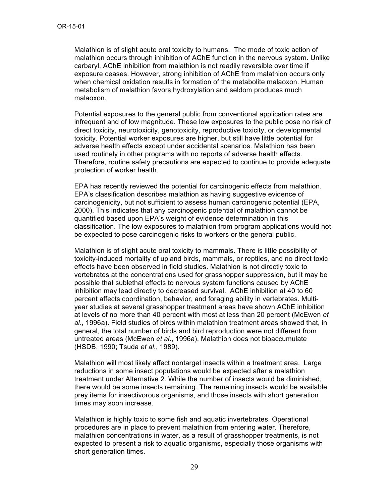Malathion is of slight acute oral toxicity to humans. The mode of toxic action of malathion occurs through inhibition of AChE function in the nervous system. Unlike carbaryl, AChE inhibition from malathion is not readily reversible over time if exposure ceases. However, strong inhibition of AChE from malathion occurs only when chemical oxidation results in formation of the metabolite malaoxon. Human metabolism of malathion favors hydroxylation and seldom produces much malaoxon.

Potential exposures to the general public from conventional application rates are infrequent and of low magnitude. These low exposures to the public pose no risk of direct toxicity, neurotoxicity, genotoxicity, reproductive toxicity, or developmental toxicity. Potential worker exposures are higher, but still have little potential for adverse health effects except under accidental scenarios. Malathion has been used routinely in other programs with no reports of adverse health effects. Therefore, routine safety precautions are expected to continue to provide adequate protection of worker health.

EPA has recently reviewed the potential for carcinogenic effects from malathion. EPA's classification describes malathion as having suggestive evidence of carcinogenicity, but not sufficient to assess human carcinogenic potential (EPA, 2000). This indicates that any carcinogenic potential of malathion cannot be quantified based upon EPA's weight of evidence determination in this classification. The low exposures to malathion from program applications would not be expected to pose carcinogenic risks to workers or the general public.

Malathion is of slight acute oral toxicity to mammals. There is little possibility of toxicity-induced mortality of upland birds, mammals, or reptiles, and no direct toxic effects have been observed in field studies. Malathion is not directly toxic to vertebrates at the concentrations used for grasshopper suppression, but it may be possible that sublethal effects to nervous system functions caused by AChE inhibition may lead directly to decreased survival. AChE inhibition at 40 to 60 percent affects coordination, behavior, and foraging ability in vertebrates. Multiyear studies at several grasshopper treatment areas have shown AChE inhibition at levels of no more than 40 percent with most at less than 20 percent (McEwen *et al*., 1996a). Field studies of birds within malathion treatment areas showed that, in general, the total number of birds and bird reproduction were not different from untreated areas (McEwen *et al*., 1996a). Malathion does not bioaccumulate (HSDB, 1990; Tsuda *et al*., 1989).

Malathion will most likely affect nontarget insects within a treatment area. Large reductions in some insect populations would be expected after a malathion treatment under Alternative 2. While the number of insects would be diminished, there would be some insects remaining. The remaining insects would be available prey items for insectivorous organisms, and those insects with short generation times may soon increase.

Malathion is highly toxic to some fish and aquatic invertebrates. Operational procedures are in place to prevent malathion from entering water. Therefore, malathion concentrations in water, as a result of grasshopper treatments, is not expected to present a risk to aquatic organisms, especially those organisms with short generation times.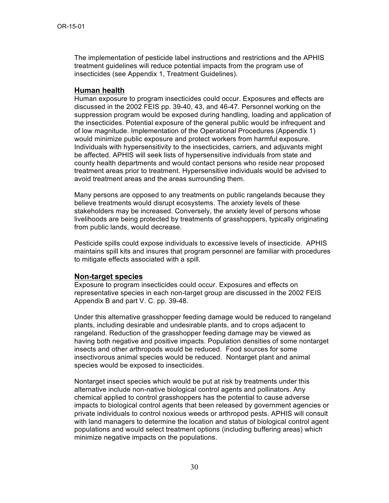The implementation of pesticide label instructions and restrictions and the APHIS treatment guidelines will reduce potential impacts from the program use of insecticides (see Appendix 1, Treatment Guidelines).

#### **Human health**

Human exposure to program insecticides could occur. Exposures and effects are discussed in the 2002 FEIS pp. 39-40, 43, and 46-47. Personnel working on the suppression program would be exposed during handling, loading and application of the insecticides. Potential exposure of the general public would be infrequent and of low magnitude. Implementation of the Operational Procedures (Appendix 1) would minimize public exposure and protect workers from harmful exposure. Individuals with hypersensitivity to the insecticides, carriers, and adjuvants might be affected. APHIS will seek lists of hypersensitive individuals from state and county health departments and would contact persons who reside near proposed treatment areas prior to treatment. Hypersensitive individuals would be advised to avoid treatment areas and the areas surrounding them.

Many persons are opposed to any treatments on public rangelands because they believe treatments would disrupt ecosystems. The anxiety levels of these stakeholders may be increased. Conversely, the anxiety level of persons whose livelihoods are being protected by treatments of grasshoppers, typically originating from public lands, would decrease.

Pesticide spills could expose individuals to excessive levels of insecticide. APHIS maintains spill kits and insures that program personnel are familiar with procedures to mitigate effects associated with a spill.

#### **Non-target species**

Exposure to program insecticides could occur. Exposures and effects on representative species in each non-target group are discussed in the 2002 FEIS Appendix B and part V. C. pp. 39-48.

Under this alternative grasshopper feeding damage would be reduced to rangeland plants, including desirable and undesirable plants, and to crops adjacent to rangeland. Reduction of the grasshopper feeding damage may be viewed as having both negative and positive impacts. Population densities of some nontarget insects and other arthropods would be reduced. Food sources for some insectivorous animal species would be reduced. Nontarget plant and animal species would be exposed to insecticides.

Nontarget insect species which would be put at risk by treatments under this alternative include non-native biological control agents and pollinators. Any chemical applied to control grasshoppers has the potential to cause adverse impacts to biological control agents that been released by government agencies or private individuals to control noxious weeds or arthropod pests. APHIS will consult with land managers to determine the location and status of biological control agent populations and would select treatment options (including buffering areas) which minimize negative impacts on the populations.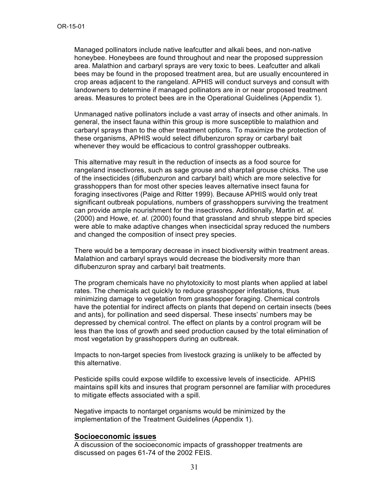Managed pollinators include native leafcutter and alkali bees, and non-native honeybee. Honeybees are found throughout and near the proposed suppression area. Malathion and carbaryl sprays are very toxic to bees. Leafcutter and alkali bees may be found in the proposed treatment area, but are usually encountered in crop areas adjacent to the rangeland. APHIS will conduct surveys and consult with landowners to determine if managed pollinators are in or near proposed treatment areas. Measures to protect bees are in the Operational Guidelines (Appendix 1).

Unmanaged native pollinators include a vast array of insects and other animals. In general, the insect fauna within this group is more susceptible to malathion and carbaryl sprays than to the other treatment options. To maximize the protection of these organisms, APHIS would select diflubenzuron spray or carbaryl bait whenever they would be efficacious to control grasshopper outbreaks.

This alternative may result in the reduction of insects as a food source for rangeland insectivores, such as sage grouse and sharptail grouse chicks. The use of the insecticides (diflubenzuron and carbaryl bait) which are more selective for grasshoppers than for most other species leaves alternative insect fauna for foraging insectivores (Paige and Ritter 1999). Because APHIS would only treat significant outbreak populations, numbers of grasshoppers surviving the treatment can provide ample nourishment for the insectivores. Additionally, Martin *et. al.* (2000) and Howe, *et. al.* (2000) found that grassland and shrub steppe bird species were able to make adaptive changes when insecticidal spray reduced the numbers and changed the composition of insect prey species.

There would be a temporary decrease in insect biodiversity within treatment areas. Malathion and carbaryl sprays would decrease the biodiversity more than diflubenzuron spray and carbaryl bait treatments.

The program chemicals have no phytotoxicity to most plants when applied at label rates. The chemicals act quickly to reduce grasshopper infestations, thus minimizing damage to vegetation from grasshopper foraging. Chemical controls have the potential for indirect affects on plants that depend on certain insects (bees and ants), for pollination and seed dispersal. These insects' numbers may be depressed by chemical control. The effect on plants by a control program will be less than the loss of growth and seed production caused by the total elimination of most vegetation by grasshoppers during an outbreak.

Impacts to non-target species from livestock grazing is unlikely to be affected by this alternative.

Pesticide spills could expose wildlife to excessive levels of insecticide. APHIS maintains spill kits and insures that program personnel are familiar with procedures to mitigate effects associated with a spill.

Negative impacts to nontarget organisms would be minimized by the implementation of the Treatment Guidelines (Appendix 1).

#### **Socioeconomic issues**

A discussion of the socioeconomic impacts of grasshopper treatments are discussed on pages 61-74 of the 2002 FEIS.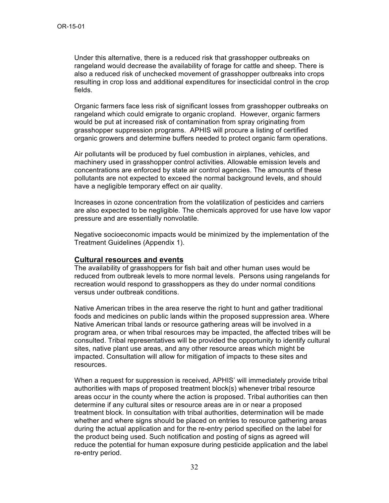Under this alternative, there is a reduced risk that grasshopper outbreaks on rangeland would decrease the availability of forage for cattle and sheep. There is also a reduced risk of unchecked movement of grasshopper outbreaks into crops resulting in crop loss and additional expenditures for insecticidal control in the crop fields.

Organic farmers face less risk of significant losses from grasshopper outbreaks on rangeland which could emigrate to organic cropland. However, organic farmers would be put at increased risk of contamination from spray originating from grasshopper suppression programs. APHIS will procure a listing of certified organic growers and determine buffers needed to protect organic farm operations.

Air pollutants will be produced by fuel combustion in airplanes, vehicles, and machinery used in grasshopper control activities. Allowable emission levels and concentrations are enforced by state air control agencies. The amounts of these pollutants are not expected to exceed the normal background levels, and should have a negligible temporary effect on air quality.

Increases in ozone concentration from the volatilization of pesticides and carriers are also expected to be negligible. The chemicals approved for use have low vapor pressure and are essentially nonvolatile.

Negative socioeconomic impacts would be minimized by the implementation of the Treatment Guidelines (Appendix 1).

#### **Cultural resources and events**

The availability of grasshoppers for fish bait and other human uses would be reduced from outbreak levels to more normal levels. Persons using rangelands for recreation would respond to grasshoppers as they do under normal conditions versus under outbreak conditions.

Native American tribes in the area reserve the right to hunt and gather traditional foods and medicines on public lands within the proposed suppression area. Where Native American tribal lands or resource gathering areas will be involved in a program area, or when tribal resources may be impacted, the affected tribes will be consulted. Tribal representatives will be provided the opportunity to identify cultural sites, native plant use areas, and any other resource areas which might be impacted. Consultation will allow for mitigation of impacts to these sites and resources.

When a request for suppression is received, APHIS' will immediately provide tribal authorities with maps of proposed treatment block(s) whenever tribal resource areas occur in the county where the action is proposed. Tribal authorities can then determine if any cultural sites or resource areas are in or near a proposed treatment block. In consultation with tribal authorities, determination will be made whether and where signs should be placed on entries to resource gathering areas during the actual application and for the re-entry period specified on the label for the product being used. Such notification and posting of signs as agreed will reduce the potential for human exposure during pesticide application and the label re-entry period.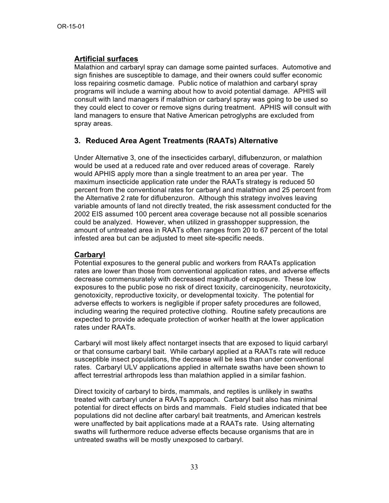### **Artificial surfaces**

Malathion and carbaryl spray can damage some painted surfaces. Automotive and sign finishes are susceptible to damage, and their owners could suffer economic loss repairing cosmetic damage. Public notice of malathion and carbaryl spray programs will include a warning about how to avoid potential damage. APHIS will consult with land managers if malathion or carbaryl spray was going to be used so they could elect to cover or remove signs during treatment. APHIS will consult with land managers to ensure that Native American petroglyphs are excluded from spray areas.

### **3. Reduced Area Agent Treatments (RAATs) Alternative**

Under Alternative 3, one of the insecticides carbaryl, diflubenzuron, or malathion would be used at a reduced rate and over reduced areas of coverage. Rarely would APHIS apply more than a single treatment to an area per year. The maximum insecticide application rate under the RAATs strategy is reduced 50 percent from the conventional rates for carbaryl and malathion and 25 percent from the Alternative 2 rate for diflubenzuron. Although this strategy involves leaving variable amounts of land not directly treated, the risk assessment conducted for the 2002 EIS assumed 100 percent area coverage because not all possible scenarios could be analyzed. However, when utilized in grasshopper suppression, the amount of untreated area in RAATs often ranges from 20 to 67 percent of the total infested area but can be adjusted to meet site-specific needs.

#### **Carbaryl**

Potential exposures to the general public and workers from RAATs application rates are lower than those from conventional application rates, and adverse effects decrease commensurately with decreased magnitude of exposure. These low exposures to the public pose no risk of direct toxicity, carcinogenicity, neurotoxicity, genotoxicity, reproductive toxicity, or developmental toxicity. The potential for adverse effects to workers is negligible if proper safety procedures are followed, including wearing the required protective clothing. Routine safety precautions are expected to provide adequate protection of worker health at the lower application rates under RAATs.

Carbaryl will most likely affect nontarget insects that are exposed to liquid carbaryl or that consume carbaryl bait. While carbaryl applied at a RAATs rate will reduce susceptible insect populations, the decrease will be less than under conventional rates. Carbaryl ULV applications applied in alternate swaths have been shown to affect terrestrial arthropods less than malathion applied in a similar fashion.

Direct toxicity of carbaryl to birds, mammals, and reptiles is unlikely in swaths treated with carbaryl under a RAATs approach. Carbaryl bait also has minimal potential for direct effects on birds and mammals. Field studies indicated that bee populations did not decline after carbaryl bait treatments, and American kestrels were unaffected by bait applications made at a RAATs rate. Using alternating swaths will furthermore reduce adverse effects because organisms that are in untreated swaths will be mostly unexposed to carbaryl.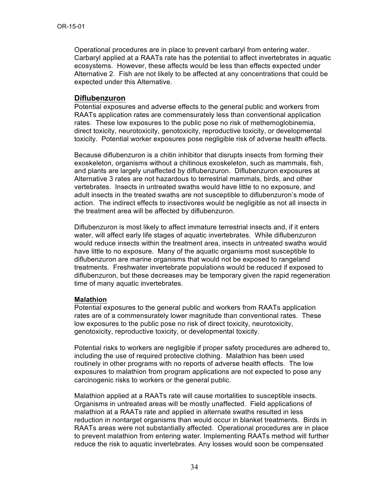Operational procedures are in place to prevent carbaryl from entering water. Carbaryl applied at a RAATs rate has the potential to affect invertebrates in aquatic ecosystems. However, these affects would be less than effects expected under Alternative 2. Fish are not likely to be affected at any concentrations that could be expected under this Alternative.

#### **Diflubenzuron**

Potential exposures and adverse effects to the general public and workers from RAATs application rates are commensurately less than conventional application rates. These low exposures to the public pose no risk of methemoglobinemia, direct toxicity, neurotoxicity, genotoxicity, reproductive toxicity, or developmental toxicity. Potential worker exposures pose negligible risk of adverse health effects.

Because diflubenzuron is a chitin inhibitor that disrupts insects from forming their exoskeleton, organisms without a chitinous exoskeleton, such as mammals, fish, and plants are largely unaffected by diflubenzuron. Diflubenzuron exposures at Alternative 3 rates are not hazardous to terrestrial mammals, birds, and other vertebrates. Insects in untreated swaths would have little to no exposure, and adult insects in the treated swaths are not susceptible to diflubenzuron's mode of action. The indirect effects to insectivores would be negligible as not all insects in the treatment area will be affected by diflubenzuron.

Diflubenzuron is most likely to affect immature terrestrial insects and, if it enters water, will affect early life stages of aquatic invertebrates. While diflubenzuron would reduce insects within the treatment area, insects in untreated swaths would have little to no exposure. Many of the aquatic organisms most susceptible to diflubenzuron are marine organisms that would not be exposed to rangeland treatments. Freshwater invertebrate populations would be reduced if exposed to diflubenzuron, but these decreases may be temporary given the rapid regeneration time of many aquatic invertebrates.

#### **Malathion**

Potential exposures to the general public and workers from RAATs application rates are of a commensurately lower magnitude than conventional rates. These low exposures to the public pose no risk of direct toxicity, neurotoxicity, genotoxicity, reproductive toxicity, or developmental toxicity.

Potential risks to workers are negligible if proper safety procedures are adhered to, including the use of required protective clothing. Malathion has been used routinely in other programs with no reports of adverse health effects. The low exposures to malathion from program applications are not expected to pose any carcinogenic risks to workers or the general public.

Malathion applied at a RAATs rate will cause mortalities to susceptible insects. Organisms in untreated areas will be mostly unaffected. Field applications of malathion at a RAATs rate and applied in alternate swaths resulted in less reduction in nontarget organisms than would occur in blanket treatments. Birds in RAATs areas were not substantially affected. Operational procedures are in place to prevent malathion from entering water. Implementing RAATs method will further reduce the risk to aquatic invertebrates. Any losses would soon be compensated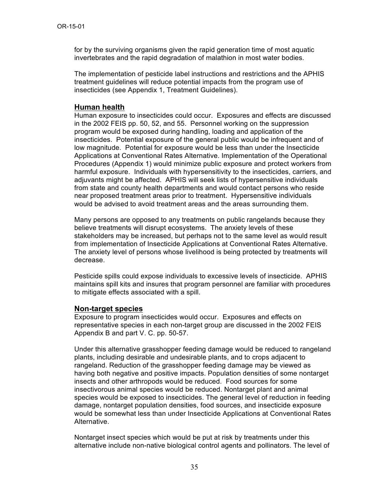for by the surviving organisms given the rapid generation time of most aquatic invertebrates and the rapid degradation of malathion in most water bodies.

The implementation of pesticide label instructions and restrictions and the APHIS treatment guidelines will reduce potential impacts from the program use of insecticides (see Appendix 1, Treatment Guidelines).

#### **Human health**

Human exposure to insecticides could occur. Exposures and effects are discussed in the 2002 FEIS pp. 50, 52, and 55. Personnel working on the suppression program would be exposed during handling, loading and application of the insecticides. Potential exposure of the general public would be infrequent and of low magnitude. Potential for exposure would be less than under the Insecticide Applications at Conventional Rates Alternative. Implementation of the Operational Procedures (Appendix 1) would minimize public exposure and protect workers from harmful exposure. Individuals with hypersensitivity to the insecticides, carriers, and adjuvants might be affected. APHIS will seek lists of hypersensitive individuals from state and county health departments and would contact persons who reside near proposed treatment areas prior to treatment. Hypersensitive individuals would be advised to avoid treatment areas and the areas surrounding them.

Many persons are opposed to any treatments on public rangelands because they believe treatments will disrupt ecosystems. The anxiety levels of these stakeholders may be increased, but perhaps not to the same level as would result from implementation of Insecticide Applications at Conventional Rates Alternative. The anxiety level of persons whose livelihood is being protected by treatments will decrease.

Pesticide spills could expose individuals to excessive levels of insecticide. APHIS maintains spill kits and insures that program personnel are familiar with procedures to mitigate effects associated with a spill.

#### **Non-target species**

Exposure to program insecticides would occur. Exposures and effects on representative species in each non-target group are discussed in the 2002 FEIS Appendix B and part V. C. pp. 50-57.

Under this alternative grasshopper feeding damage would be reduced to rangeland plants, including desirable and undesirable plants, and to crops adjacent to rangeland. Reduction of the grasshopper feeding damage may be viewed as having both negative and positive impacts. Population densities of some nontarget insects and other arthropods would be reduced. Food sources for some insectivorous animal species would be reduced. Nontarget plant and animal species would be exposed to insecticides. The general level of reduction in feeding damage, nontarget population densities, food sources, and insecticide exposure would be somewhat less than under Insecticide Applications at Conventional Rates Alternative.

Nontarget insect species which would be put at risk by treatments under this alternative include non-native biological control agents and pollinators. The level of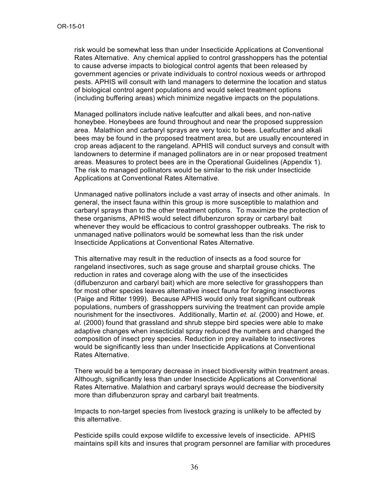risk would be somewhat less than under Insecticide Applications at Conventional Rates Alternative. Any chemical applied to control grasshoppers has the potential to cause adverse impacts to biological control agents that been released by government agencies or private individuals to control noxious weeds or arthropod pests. APHIS will consult with land managers to determine the location and status of biological control agent populations and would select treatment options (including buffering areas) which minimize negative impacts on the populations.

Managed pollinators include native leafcutter and alkali bees, and non-native honeybee. Honeybees are found throughout and near the proposed suppression area. Malathion and carbaryl sprays are very toxic to bees. Leafcutter and alkali bees may be found in the proposed treatment area, but are usually encountered in crop areas adjacent to the rangeland. APHIS will conduct surveys and consult with landowners to determine if managed pollinators are in or near proposed treatment areas. Measures to protect bees are in the Operational Guidelines (Appendix 1). The risk to managed pollinators would be similar to the risk under Insecticide Applications at Conventional Rates Alternative.

Unmanaged native pollinators include a vast array of insects and other animals. In general, the insect fauna within this group is more susceptible to malathion and carbaryl sprays than to the other treatment options. To maximize the protection of these organisms, APHIS would select diflubenzuron spray or carbaryl bait whenever they would be efficacious to control grasshopper outbreaks. The risk to unmanaged native pollinators would be somewhat less than the risk under Insecticide Applications at Conventional Rates Alternative.

This alternative may result in the reduction of insects as a food source for rangeland insectivores, such as sage grouse and sharptail grouse chicks. The reduction in rates and coverage along with the use of the insecticides (diflubenzuron and carbaryl bait) which are more selective for grasshoppers than for most other species leaves alternative insect fauna for foraging insectivores (Paige and Ritter 1999). Because APHIS would only treat significant outbreak populations, numbers of grasshoppers surviving the treatment can provide ample nourishment for the insectivores. Additionally, Martin *et. al.* (2000) and Howe, *et. al.* (2000) found that grassland and shrub steppe bird species were able to make adaptive changes when insecticidal spray reduced the numbers and changed the composition of insect prey species. Reduction in prey available to insectivores would be significantly less than under Insecticide Applications at Conventional Rates Alternative.

There would be a temporary decrease in insect biodiversity within treatment areas. Although, significantly less than under Insecticide Applications at Conventional Rates Alternative. Malathion and carbaryl sprays would decrease the biodiversity more than diflubenzuron spray and carbaryl bait treatments.

Impacts to non-target species from livestock grazing is unlikely to be affected by this alternative.

Pesticide spills could expose wildlife to excessive levels of insecticide. APHIS maintains spill kits and insures that program personnel are familiar with procedures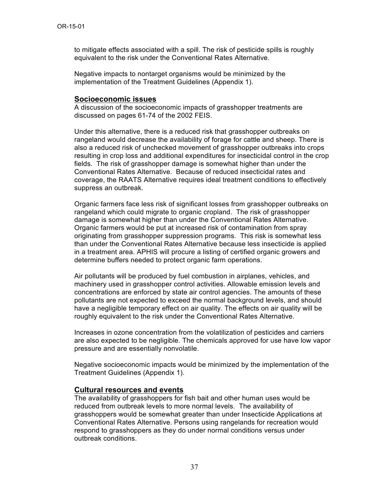to mitigate effects associated with a spill. The risk of pesticide spills is roughly equivalent to the risk under the Conventional Rates Alternative.

Negative impacts to nontarget organisms would be minimized by the implementation of the Treatment Guidelines (Appendix 1).

#### **Socioeconomic issues**

A discussion of the socioeconomic impacts of grasshopper treatments are discussed on pages 61-74 of the 2002 FEIS.

Under this alternative, there is a reduced risk that grasshopper outbreaks on rangeland would decrease the availability of forage for cattle and sheep. There is also a reduced risk of unchecked movement of grasshopper outbreaks into crops resulting in crop loss and additional expenditures for insecticidal control in the crop fields. The risk of grasshopper damage is somewhat higher than under the Conventional Rates Alternative. Because of reduced insecticidal rates and coverage, the RAATS Alternative requires ideal treatment conditions to effectively suppress an outbreak.

Organic farmers face less risk of significant losses from grasshopper outbreaks on rangeland which could migrate to organic cropland. The risk of grasshopper damage is somewhat higher than under the Conventional Rates Alternative. Organic farmers would be put at increased risk of contamination from spray originating from grasshopper suppression programs. This risk is somewhat less than under the Conventional Rates Alternative because less insecticide is applied in a treatment area. APHIS will procure a listing of certified organic growers and determine buffers needed to protect organic farm operations.

Air pollutants will be produced by fuel combustion in airplanes, vehicles, and machinery used in grasshopper control activities. Allowable emission levels and concentrations are enforced by state air control agencies. The amounts of these pollutants are not expected to exceed the normal background levels, and should have a negligible temporary effect on air quality. The effects on air quality will be roughly equivalent to the risk under the Conventional Rates Alternative.

Increases in ozone concentration from the volatilization of pesticides and carriers are also expected to be negligible. The chemicals approved for use have low vapor pressure and are essentially nonvolatile.

Negative socioeconomic impacts would be minimized by the implementation of the Treatment Guidelines (Appendix 1).

#### **Cultural resources and events**

The availability of grasshoppers for fish bait and other human uses would be reduced from outbreak levels to more normal levels. The availability of grasshoppers would be somewhat greater than under Insecticide Applications at Conventional Rates Alternative. Persons using rangelands for recreation would respond to grasshoppers as they do under normal conditions versus under outbreak conditions.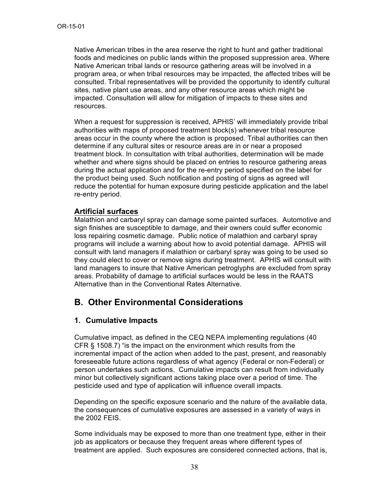Native American tribes in the area reserve the right to hunt and gather traditional foods and medicines on public lands within the proposed suppression area. Where Native American tribal lands or resource gathering areas will be involved in a program area, or when tribal resources may be impacted, the affected tribes will be consulted. Tribal representatives will be provided the opportunity to identify cultural sites, native plant use areas, and any other resource areas which might be impacted. Consultation will allow for mitigation of impacts to these sites and resources.

When a request for suppression is received, APHIS' will immediately provide tribal authorities with maps of proposed treatment block(s) whenever tribal resource areas occur in the county where the action is proposed. Tribal authorities can then determine if any cultural sites or resource areas are in or near a proposed treatment block. In consultation with tribal authorities, determination will be made whether and where signs should be placed on entries to resource gathering areas during the actual application and for the re-entry period specified on the label for the product being used. Such notification and posting of signs as agreed will reduce the potential for human exposure during pesticide application and the label re-entry period.

#### **Artificial surfaces**

Malathion and carbaryl spray can damage some painted surfaces. Automotive and sign finishes are susceptible to damage, and their owners could suffer economic loss repairing cosmetic damage. Public notice of malathion and carbaryl spray programs will include a warning about how to avoid potential damage. APHIS will consult with land managers if malathion or carbaryl spray was going to be used so they could elect to cover or remove signs during treatment. APHIS will consult with land managers to insure that Native American petroglyphs are excluded from spray areas. Probability of damage to artificial surfaces would be less in the RAATS Alternative than in the Conventional Rates Alternative.

### **B. Other Environmental Considerations**

#### **1. Cumulative Impacts**

Cumulative impact, as defined in the CEQ NEPA implementing regulations (40 CFR § 1508.7) "is the impact on the environment which results from the incremental impact of the action when added to the past, present, and reasonably foreseeable future actions regardless of what agency (Federal or non-Federal) or person undertakes such actions. Cumulative impacts can result from individually minor but collectively significant actions taking place over a period of time. The pesticide used and type of application will influence overall impacts.

Depending on the specific exposure scenario and the nature of the available data, the consequences of cumulative exposures are assessed in a variety of ways in the 2002 FEIS.

Some individuals may be exposed to more than one treatment type, either in their job as applicators or because they frequent areas where different types of treatment are applied. Such exposures are considered connected actions, that is,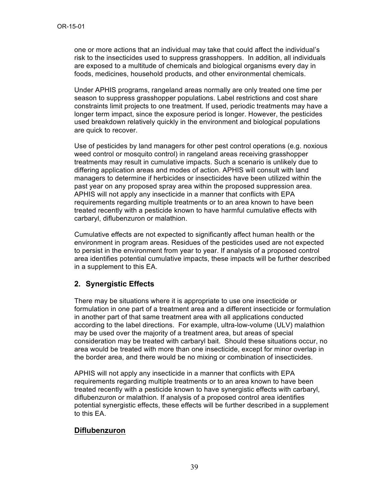one or more actions that an individual may take that could affect the individual's risk to the insecticides used to suppress grasshoppers. In addition, all individuals are exposed to a multitude of chemicals and biological organisms every day in foods, medicines, household products, and other environmental chemicals.

Under APHIS programs, rangeland areas normally are only treated one time per season to suppress grasshopper populations. Label restrictions and cost share constraints limit projects to one treatment. If used, periodic treatments may have a longer term impact, since the exposure period is longer. However, the pesticides used breakdown relatively quickly in the environment and biological populations are quick to recover.

Use of pesticides by land managers for other pest control operations (e.g. noxious weed control or mosquito control) in rangeland areas receiving grasshopper treatments may result in cumulative impacts. Such a scenario is unlikely due to differing application areas and modes of action. APHIS will consult with land managers to determine if herbicides or insecticides have been utilized within the past year on any proposed spray area within the proposed suppression area. APHIS will not apply any insecticide in a manner that conflicts with EPA requirements regarding multiple treatments or to an area known to have been treated recently with a pesticide known to have harmful cumulative effects with carbaryl, diflubenzuron or malathion.

Cumulative effects are not expected to significantly affect human health or the environment in program areas. Residues of the pesticides used are not expected to persist in the environment from year to year. If analysis of a proposed control area identifies potential cumulative impacts, these impacts will be further described in a supplement to this EA.

#### **2. Synergistic Effects**

There may be situations where it is appropriate to use one insecticide or formulation in one part of a treatment area and a different insecticide or formulation in another part of that same treatment area with all applications conducted according to the label directions. For example, ultra-low-volume (ULV) malathion may be used over the majority of a treatment area, but areas of special consideration may be treated with carbaryl bait. Should these situations occur, no area would be treated with more than one insecticide, except for minor overlap in the border area, and there would be no mixing or combination of insecticides.

APHIS will not apply any insecticide in a manner that conflicts with EPA requirements regarding multiple treatments or to an area known to have been treated recently with a pesticide known to have synergistic effects with carbaryl, diflubenzuron or malathion. If analysis of a proposed control area identifies potential synergistic effects, these effects will be further described in a supplement to this EA.

#### **Diflubenzuron**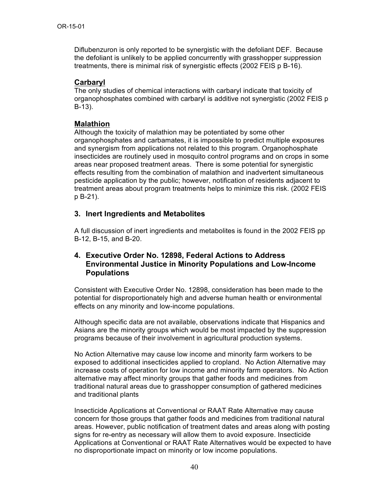Diflubenzuron is only reported to be synergistic with the defoliant DEF. Because the defoliant is unlikely to be applied concurrently with grasshopper suppression treatments, there is minimal risk of synergistic effects (2002 FEIS p B-16).

#### **Carbaryl**

The only studies of chemical interactions with carbaryl indicate that toxicity of organophosphates combined with carbaryl is additive not synergistic (2002 FEIS p B-13).

#### **Malathion**

Although the toxicity of malathion may be potentiated by some other organophosphates and carbamates, it is impossible to predict multiple exposures and synergism from applications not related to this program. Organophosphate insecticides are routinely used in mosquito control programs and on crops in some areas near proposed treatment areas. There is some potential for synergistic effects resulting from the combination of malathion and inadvertent simultaneous pesticide application by the public; however, notification of residents adjacent to treatment areas about program treatments helps to minimize this risk. (2002 FEIS p B-21).

#### **3. Inert Ingredients and Metabolites**

A full discussion of inert ingredients and metabolites is found in the 2002 FEIS pp B-12, B-15, and B-20.

#### **4. Executive Order No. 12898, Federal Actions to Address Environmental Justice in Minority Populations and Low-Income Populations**

Consistent with Executive Order No. 12898, consideration has been made to the potential for disproportionately high and adverse human health or environmental effects on any minority and low-income populations.

Although specific data are not available, observations indicate that Hispanics and Asians are the minority groups which would be most impacted by the suppression programs because of their involvement in agricultural production systems.

No Action Alternative may cause low income and minority farm workers to be exposed to additional insecticides applied to cropland. No Action Alternative may increase costs of operation for low income and minority farm operators. No Action alternative may affect minority groups that gather foods and medicines from traditional natural areas due to grasshopper consumption of gathered medicines and traditional plants

Insecticide Applications at Conventional or RAAT Rate Alternative may cause concern for those groups that gather foods and medicines from traditional natural areas. However, public notification of treatment dates and areas along with posting signs for re-entry as necessary will allow them to avoid exposure. Insecticide Applications at Conventional or RAAT Rate Alternatives would be expected to have no disproportionate impact on minority or low income populations.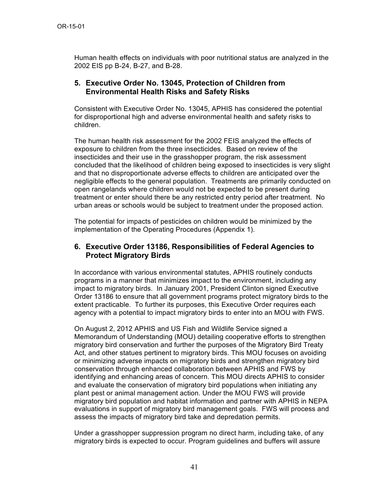Human health effects on individuals with poor nutritional status are analyzed in the 2002 EIS pp B-24, B-27, and B-28.

#### **5. Executive Order No. 13045, Protection of Children from Environmental Health Risks and Safety Risks**

Consistent with Executive Order No. 13045, APHIS has considered the potential for disproportional high and adverse environmental health and safety risks to children.

The human health risk assessment for the 2002 FEIS analyzed the effects of exposure to children from the three insecticides. Based on review of the insecticides and their use in the grasshopper program, the risk assessment concluded that the likelihood of children being exposed to insecticides is very slight and that no disproportionate adverse effects to children are anticipated over the negligible effects to the general population. Treatments are primarily conducted on open rangelands where children would not be expected to be present during treatment or enter should there be any restricted entry period after treatment. No urban areas or schools would be subject to treatment under the proposed action.

The potential for impacts of pesticides on children would be minimized by the implementation of the Operating Procedures (Appendix 1).

#### **6. Executive Order 13186, Responsibilities of Federal Agencies to Protect Migratory Birds**

In accordance with various environmental statutes, APHIS routinely conducts programs in a manner that minimizes impact to the environment, including any impact to migratory birds. In January 2001, President Clinton signed Executive Order 13186 to ensure that all government programs protect migratory birds to the extent practicable. To further its purposes, this Executive Order requires each agency with a potential to impact migratory birds to enter into an MOU with FWS.

On August 2, 2012 APHIS and US Fish and Wildlife Service signed a Memorandum of Understanding (MOU) detailing cooperative efforts to strengthen migratory bird conservation and further the purposes of the Migratory Bird Treaty Act, and other statues pertinent to migratory birds. This MOU focuses on avoiding or minimizing adverse impacts on migratory birds and strengthen migratory bird conservation through enhanced collaboration between APHIS and FWS by identifying and enhancing areas of concern. This MOU directs APHIS to consider and evaluate the conservation of migratory bird populations when initiating any plant pest or animal management action. Under the MOU FWS will provide migratory bird population and habitat information and partner with APHIS in NEPA evaluations in support of migratory bird management goals. FWS will process and assess the impacts of migratory bird take and depredation permits.

Under a grasshopper suppression program no direct harm, including take, of any migratory birds is expected to occur. Program guidelines and buffers will assure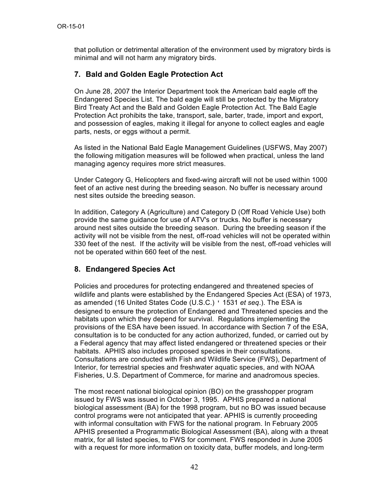that pollution or detrimental alteration of the environment used by migratory birds is minimal and will not harm any migratory birds.

### **7. Bald and Golden Eagle Protection Act**

On June 28, 2007 the Interior Department took the American bald eagle off the Endangered Species List. The bald eagle will still be protected by the Migratory Bird Treaty Act and the Bald and Golden Eagle Protection Act. The Bald Eagle Protection Act prohibits the take, transport, sale, barter, trade, import and export, and possession of eagles, making it illegal for anyone to collect eagles and eagle parts, nests, or eggs without a permit.

As listed in the National Bald Eagle Management Guidelines (USFWS, May 2007) the following mitigation measures will be followed when practical, unless the land managing agency requires more strict measures.

Under Category G, Helicopters and fixed-wing aircraft will not be used within 1000 feet of an active nest during the breeding season. No buffer is necessary around nest sites outside the breeding season.

In addition, Category A (Agriculture) and Category D (Off Road Vehicle Use) both provide the same guidance for use of ATV's or trucks. No buffer is necessary around nest sites outside the breeding season. During the breeding season if the activity will not be visible from the nest, off-road vehicles will not be operated within 330 feet of the nest. If the activity will be visible from the nest, off-road vehicles will not be operated within 660 feet of the nest.

### **8. Endangered Species Act**

Policies and procedures for protecting endangered and threatened species of wildlife and plants were established by the Endangered Species Act (ESA) of 1973, as amended (16 United States Code (U.S.C.) ' 1531 *et seq*.). The ESA is designed to ensure the protection of Endangered and Threatened species and the habitats upon which they depend for survival. Regulations implementing the provisions of the ESA have been issued. In accordance with Section 7 of the ESA, consultation is to be conducted for any action authorized, funded, or carried out by a Federal agency that may affect listed endangered or threatened species or their habitats. APHIS also includes proposed species in their consultations. Consultations are conducted with Fish and Wildlife Service (FWS), Department of Interior, for terrestrial species and freshwater aquatic species, and with NOAA Fisheries, U.S. Department of Commerce, for marine and anadromous species.

The most recent national biological opinion (BO) on the grasshopper program issued by FWS was issued in October 3, 1995. APHIS prepared a national biological assessment (BA) for the 1998 program, but no BO was issued because control programs were not anticipated that year. APHIS is currently proceeding with informal consultation with FWS for the national program. In February 2005 APHIS presented a Programmatic Biological Assessment (BA), along with a threat matrix, for all listed species, to FWS for comment. FWS responded in June 2005 with a request for more information on toxicity data, buffer models, and long-term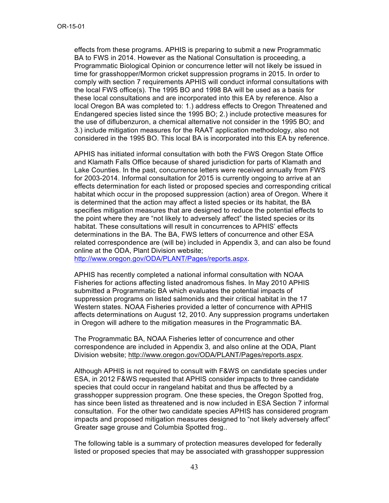effects from these programs. APHIS is preparing to submit a new Programmatic BA to FWS in 2014. However as the National Consultation is proceeding, a Programmatic Biological Opinion or concurrence letter will not likely be issued in time for grasshopper/Mormon cricket suppression programs in 2015. In order to comply with section 7 requirements APHIS will conduct informal consultations with the local FWS office(s). The 1995 BO and 1998 BA will be used as a basis for these local consultations and are incorporated into this EA by reference. Also a local Oregon BA was completed to: 1.) address effects to Oregon Threatened and Endangered species listed since the 1995 BO; 2.) include protective measures for the use of diflubenzuron, a chemical alternative not consider in the 1995 BO; and 3.) include mitigation measures for the RAAT application methodology, also not considered in the 1995 BO. This local BA is incorporated into this EA by reference.

APHIS has initiated informal consultation with both the FWS Oregon State Office and Klamath Falls Office because of shared jurisdiction for parts of Klamath and Lake Counties. In the past, concurrence letters were received annually from FWS for 2003-2014. Informal consultation for 2015 is currently ongoing to arrive at an effects determination for each listed or proposed species and corresponding critical habitat which occur in the proposed suppression (action) area of Oregon. Where it is determined that the action may affect a listed species or its habitat, the BA specifies mitigation measures that are designed to reduce the potential effects to the point where they are "not likely to adversely affect" the listed species or its habitat. These consultations will result in concurrences to APHIS' effects determinations in the BA. The BA, FWS letters of concurrence and other ESA related correspondence are (will be) included in Appendix 3, and can also be found online at the ODA, Plant Division website;

http://www.oregon.gov/ODA/PLANT/Pages/reports.aspx.

APHIS has recently completed a national informal consultation with NOAA Fisheries for actions affecting listed anadromous fishes. In May 2010 APHIS submitted a Programmatic BA which evaluates the potential impacts of suppression programs on listed salmonids and their critical habitat in the 17 Western states. NOAA Fisheries provided a letter of concurrence with APHIS affects determinations on August 12, 2010. Any suppression programs undertaken in Oregon will adhere to the mitigation measures in the Programmatic BA.

The Programmatic BA, NOAA Fisheries letter of concurrence and other correspondence are included in Appendix 3*,* and also online at the ODA, Plant Division website; http://www.oregon.gov/ODA/PLANT/Pages/reports.aspx.

Although APHIS is not required to consult with F&WS on candidate species under ESA, in 2012 F&WS requested that APHIS consider impacts to three candidate species that could occur in rangeland habitat and thus be affected by a grasshopper suppression program. One these species, the Oregon Spotted frog, has since been listed as threatened and is now included in ESA Section 7 informal consultation. For the other two candidate species APHIS has considered program impacts and proposed mitigation measures designed to "not likely adversely affect" Greater sage grouse and Columbia Spotted frog..

The following table is a summary of protection measures developed for federally listed or proposed species that may be associated with grasshopper suppression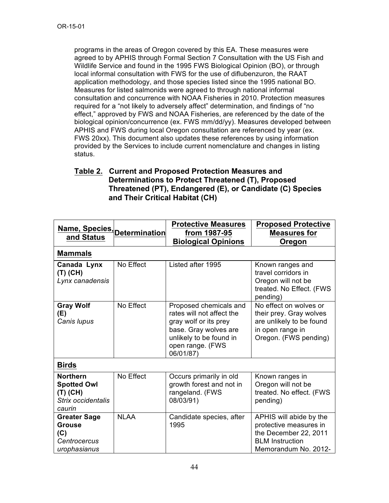programs in the areas of Oregon covered by this EA. These measures were agreed to by APHIS through Formal Section 7 Consultation with the US Fish and Wildlife Service and found in the 1995 FWS Biological Opinion (BO), or through local informal consultation with FWS for the use of diflubenzuron, the RAAT application methodology, and those species listed since the 1995 national BO. Measures for listed salmonids were agreed to through national informal consultation and concurrence with NOAA Fisheries in 2010. Protection measures required for a "not likely to adversely affect" determination, and findings of "no effect," approved by FWS and NOAA Fisheries, are referenced by the date of the biological opinion/concurrence (ex. FWS mm/dd/yy). Measures developed between APHIS and FWS during local Oregon consultation are referenced by year (ex. FWS 20xx). This document also updates these references by using information provided by the Services to include current nomenclature and changes in listing status.

### **Table 2. Current and Proposed Protection Measures and Determinations to Protect Threatened (T), Proposed Threatened (PT), Endangered (E), or Candidate (C) Species and Their Critical Habitat (CH)**

|                                                                                     |             | <b>Protective Measures</b>                                                                                                                                        | <b>Proposed Protective</b>                                                                                                   |
|-------------------------------------------------------------------------------------|-------------|-------------------------------------------------------------------------------------------------------------------------------------------------------------------|------------------------------------------------------------------------------------------------------------------------------|
| Name, Species, Determination<br>and Status                                          |             | from 1987-95                                                                                                                                                      | <b>Measures for</b>                                                                                                          |
|                                                                                     |             | <b>Biological Opinions</b>                                                                                                                                        | Oregon                                                                                                                       |
| <b>Mammals</b>                                                                      |             |                                                                                                                                                                   |                                                                                                                              |
| Canada Lynx<br>(T) (CH)<br>Lynx canadensis                                          | No Effect   | Listed after 1995                                                                                                                                                 | Known ranges and<br>travel corridors in<br>Oregon will not be<br>treated. No Effect. (FWS<br>pending)                        |
| <b>Gray Wolf</b><br>(E)<br>Canis lupus                                              | No Effect   | Proposed chemicals and<br>rates will not affect the<br>gray wolf or its prey<br>base. Gray wolves are<br>unlikely to be found in<br>open range. (FWS<br>06/01/87) | No effect on wolves or<br>their prey. Gray wolves<br>are unlikely to be found<br>in open range in<br>Oregon. (FWS pending)   |
| <b>Birds</b>                                                                        |             |                                                                                                                                                                   |                                                                                                                              |
| <b>Northern</b><br><b>Spotted Owl</b><br>$(T)$ (CH)<br>Strix occidentalis<br>caurin | No Effect   | Occurs primarily in old<br>growth forest and not in<br>rangeland. (FWS<br>08/03/91)                                                                               | Known ranges in<br>Oregon will not be<br>treated. No effect. (FWS<br>pending)                                                |
| <b>Greater Sage</b><br><b>Grouse</b><br>(C)<br>Centrocercus<br>urophasianus         | <b>NLAA</b> | Candidate species, after<br>1995                                                                                                                                  | APHIS will abide by the<br>protective measures in<br>the December 22, 2011<br><b>BLM</b> Instruction<br>Memorandum No. 2012- |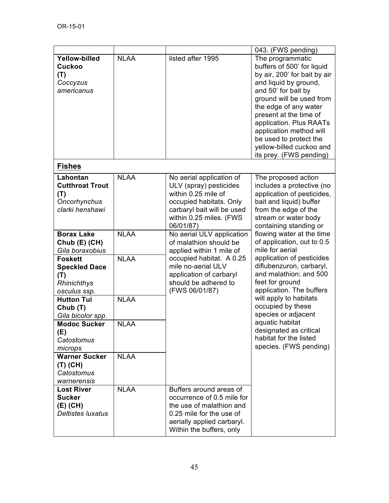|                                                                              |             |                                                                                                                                                                            | 043. (FWS pending)                                                                                                                                                                                                                                                                                                                                   |
|------------------------------------------------------------------------------|-------------|----------------------------------------------------------------------------------------------------------------------------------------------------------------------------|------------------------------------------------------------------------------------------------------------------------------------------------------------------------------------------------------------------------------------------------------------------------------------------------------------------------------------------------------|
| <b>Yellow-billed</b><br><b>Cuckoo</b><br>(T)<br>Coccyzus<br>americanus       | <b>NLAA</b> | listed after 1995                                                                                                                                                          | The programmatic<br>buffers of 500' for liquid<br>by air, 200' for bait by air<br>and liquid by ground,<br>and 50' for bait by<br>ground will be used from<br>the edge of any water<br>present at the time of<br>application. Plus RAATs<br>application method will<br>be used to protect the<br>yellow-billed cuckoo and<br>its prey. (FWS pending) |
| <b>Fishes</b>                                                                |             |                                                                                                                                                                            |                                                                                                                                                                                                                                                                                                                                                      |
| Lahontan<br><b>Cutthroat Trout</b><br>(T)<br>Oncorhynchus<br>clarki henshawi | <b>NLAA</b> | No aerial application of<br>ULV (spray) pesticides<br>within 0.25 mile of<br>occupied habitats. Only<br>carbaryl bait will be used<br>within 0.25 miles. (FWS<br>06/01/87) | The proposed action<br>includes a protective (no<br>application of pesticides,<br>bait and liquid) buffer<br>from the edge of the<br>stream or water body<br>containing standing or                                                                                                                                                                  |
| <b>Borax Lake</b><br>Chub (E) (CH)<br>Gila boraxobius                        | <b>NLAA</b> | No aerial ULV application<br>of malathion should be<br>applied within 1 mile of                                                                                            | flowing water at the time<br>of application, out to 0.5<br>mile for aerial                                                                                                                                                                                                                                                                           |
| <b>Foskett</b><br><b>Speckled Dace</b><br>(T)<br>Rhinichthys<br>osculus ssp. | <b>NLAA</b> | occupied habitat. A 0.25<br>mile no-aerial ULV<br>application of carbaryl<br>should be adhered to<br>(FWS 06/01/87)                                                        | application of pesticides<br>diflubenzuron, carbaryl,<br>and malathion; and 500<br>feet for ground<br>application. The buffers                                                                                                                                                                                                                       |
| <b>Hutton Tui</b><br>Chub (T)<br>Gila bicolor spp.                           | <b>NLAA</b> |                                                                                                                                                                            | will apply to habitats<br>occupied by these<br>species or adjacent                                                                                                                                                                                                                                                                                   |
| <b>Modoc Sucker</b><br>(E)<br>Catostomus<br>microps                          | <b>NLAA</b> |                                                                                                                                                                            | aquatic habitat<br>designated as critical<br>habitat for the listed<br>species. (FWS pending)                                                                                                                                                                                                                                                        |
| <b>Warner Sucker</b><br>$(T)$ (CH)<br>Catostomus<br>warnerensis              | <b>NLAA</b> |                                                                                                                                                                            |                                                                                                                                                                                                                                                                                                                                                      |
| <b>Lost River</b><br><b>Sucker</b><br>(E) (CH)<br><b>Deltistes luxatus</b>   | <b>NLAA</b> | Buffers around areas of<br>occurrence of 0.5 mile for<br>the use of malathion and<br>0.25 mile for the use of<br>aerially applied carbaryl.<br>Within the buffers, only    |                                                                                                                                                                                                                                                                                                                                                      |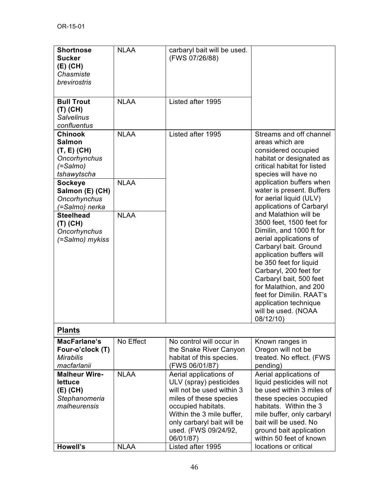| <b>Shortnose</b>     | <b>NLAA</b> | carbaryl bait will be used. |                             |
|----------------------|-------------|-----------------------------|-----------------------------|
| <b>Sucker</b>        |             | (FWS 07/26/88)              |                             |
| $(E)$ (CH)           |             |                             |                             |
| Chasmiste            |             |                             |                             |
| brevirostris         |             |                             |                             |
|                      |             |                             |                             |
|                      |             |                             |                             |
| <b>Bull Trout</b>    | <b>NLAA</b> | Listed after 1995           |                             |
| $(T)$ (CH)           |             |                             |                             |
| <b>Salvelinus</b>    |             |                             |                             |
| confluentus          |             |                             |                             |
| <b>Chinook</b>       | <b>NLAA</b> | Listed after 1995           | Streams and off channel     |
| <b>Salmon</b>        |             |                             | areas which are             |
| $(T, E)$ (CH)        |             |                             | considered occupied         |
| Oncorhynchus         |             |                             | habitat or designated as    |
| $( =$ Salmo $)$      |             |                             | critical habitat for listed |
| tshawytscha          |             |                             | species will have no        |
| <b>Sockeye</b>       | <b>NLAA</b> |                             | application buffers when    |
| Salmon (E) (CH)      |             |                             | water is present. Buffers   |
| Oncorhynchus         |             |                             | for aerial liquid (ULV)     |
| (=Salmo) nerka       |             |                             | applications of Carbaryl    |
| <b>Steelhead</b>     | <b>NLAA</b> |                             | and Malathion will be       |
|                      |             |                             | 3500 feet, 1500 feet for    |
| $(T)$ (CH)           |             |                             | Dimilin, and 1000 ft for    |
| Oncorhynchus         |             |                             | aerial applications of      |
| (=Salmo) mykiss      |             |                             | Carbaryl bait. Ground       |
|                      |             |                             | application buffers will    |
|                      |             |                             |                             |
|                      |             |                             | be 350 feet for liquid      |
|                      |             |                             | Carbaryl, 200 feet for      |
|                      |             |                             | Carbaryl bait, 500 feet     |
|                      |             |                             | for Malathion, and 200      |
|                      |             |                             | feet for Dimilin, RAAT's    |
|                      |             |                             | application technique       |
|                      |             |                             | will be used. (NOAA         |
|                      |             |                             | 08/12/10)                   |
| <b>Plants</b>        |             |                             |                             |
| MacFarlane's         | No Effect   | No control will occur in    | Known ranges in             |
| Four-o'clock (T)     |             | the Snake River Canyon      | Oregon will not be          |
| <b>Mirabilis</b>     |             | habitat of this species.    | treated. No effect. (FWS    |
| macfarlanii          |             | (FWS 06/01/87)              | pending)                    |
| <b>Malheur Wire-</b> | <b>NLAA</b> | Aerial applications of      | Aerial applications of      |
| lettuce              |             | ULV (spray) pesticides      | liquid pesticides will not  |
| $(E)$ (CH)           |             | will not be used within 3   | be used within 3 miles of   |
| Stephanomeria        |             | miles of these species      | these species occupied      |
| malheurensis         |             | occupied habitats.          | habitats. Within the 3      |
|                      |             | Within the 3 mile buffer,   | mile buffer, only carbaryl  |
|                      |             | only carbaryl bait will be  | bait will be used. No       |
|                      |             | used. (FWS 09/24/92,        | ground bait application     |
|                      |             | 06/01/87)                   | within 50 feet of known     |
| <b>Howell's</b>      | <b>NLAA</b> | Listed after 1995           | locations or critical       |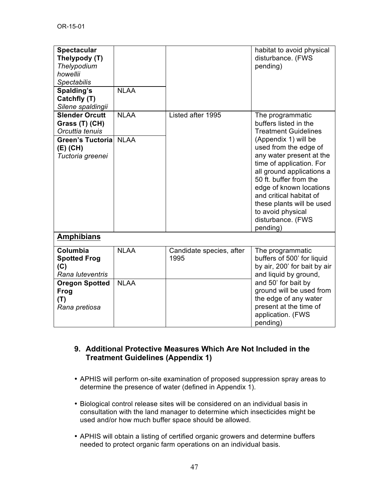| <b>Spectacular</b><br>Thelypody (T)<br>Thelypodium<br>howellii<br><b>Spectabilis</b><br>Spalding's<br>Catchfly (T)<br>Silene spaldingii | <b>NLAA</b> |                                  | habitat to avoid physical<br>disturbance. (FWS<br>pending)                                                                                                                                                                                                                                            |
|-----------------------------------------------------------------------------------------------------------------------------------------|-------------|----------------------------------|-------------------------------------------------------------------------------------------------------------------------------------------------------------------------------------------------------------------------------------------------------------------------------------------------------|
| <b>Slender Orcutt</b><br>Grass (T) (CH)<br>Orcuttia tenuis                                                                              | <b>NLAA</b> | Listed after 1995                | The programmatic<br>buffers listed in the<br><b>Treatment Guidelines</b>                                                                                                                                                                                                                              |
| <b>Green's Tuctoria</b><br>(E) (CH)<br>Tuctoria greenei                                                                                 | <b>NLAA</b> |                                  | (Appendix 1) will be<br>used from the edge of<br>any water present at the<br>time of application. For<br>all ground applications a<br>50 ft. buffer from the<br>edge of known locations<br>and critical habitat of<br>these plants will be used<br>to avoid physical<br>disturbance. (FWS<br>pending) |
| <b>Amphibians</b>                                                                                                                       |             |                                  |                                                                                                                                                                                                                                                                                                       |
| Columbia<br><b>Spotted Frog</b><br>(C)<br>Rana luteventris                                                                              | <b>NLAA</b> | Candidate species, after<br>1995 | The programmatic<br>buffers of 500' for liquid<br>by air, 200' for bait by air<br>and liquid by ground,                                                                                                                                                                                               |
| <b>Oregon Spotted</b><br>Frog<br>(T)<br>Rana pretiosa                                                                                   | <b>NLAA</b> |                                  | and 50' for bait by<br>ground will be used from<br>the edge of any water<br>present at the time of<br>application. (FWS<br>pending)                                                                                                                                                                   |

#### **9. Additional Protective Measures Which Are Not Included in the Treatment Guidelines (Appendix 1)**

- APHIS will perform on-site examination of proposed suppression spray areas to determine the presence of water (defined in Appendix 1).
- Biological control release sites will be considered on an individual basis in consultation with the land manager to determine which insecticides might be used and/or how much buffer space should be allowed.
- APHIS will obtain a listing of certified organic growers and determine buffers needed to protect organic farm operations on an individual basis.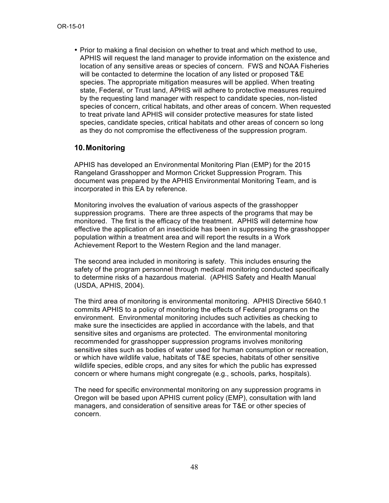• Prior to making a final decision on whether to treat and which method to use, APHIS will request the land manager to provide information on the existence and location of any sensitive areas or species of concern. FWS and NOAA Fisheries will be contacted to determine the location of any listed or proposed T&E species. The appropriate mitigation measures will be applied. When treating state, Federal, or Trust land, APHIS will adhere to protective measures required by the requesting land manager with respect to candidate species, non-listed species of concern, critical habitats, and other areas of concern. When requested to treat private land APHIS will consider protective measures for state listed species, candidate species, critical habitats and other areas of concern so long as they do not compromise the effectiveness of the suppression program.

### **10.Monitoring**

APHIS has developed an Environmental Monitoring Plan (EMP) for the 2015 Rangeland Grasshopper and Mormon Cricket Suppression Program. This document was prepared by the APHIS Environmental Monitoring Team, and is incorporated in this EA by reference.

Monitoring involves the evaluation of various aspects of the grasshopper suppression programs. There are three aspects of the programs that may be monitored. The first is the efficacy of the treatment. APHIS will determine how effective the application of an insecticide has been in suppressing the grasshopper population within a treatment area and will report the results in a Work Achievement Report to the Western Region and the land manager.

The second area included in monitoring is safety. This includes ensuring the safety of the program personnel through medical monitoring conducted specifically to determine risks of a hazardous material. (APHIS Safety and Health Manual (USDA, APHIS, 2004).

The third area of monitoring is environmental monitoring. APHIS Directive 5640.1 commits APHIS to a policy of monitoring the effects of Federal programs on the environment. Environmental monitoring includes such activities as checking to make sure the insecticides are applied in accordance with the labels, and that sensitive sites and organisms are protected. The environmental monitoring recommended for grasshopper suppression programs involves monitoring sensitive sites such as bodies of water used for human consumption or recreation, or which have wildlife value, habitats of T&E species, habitats of other sensitive wildlife species, edible crops, and any sites for which the public has expressed concern or where humans might congregate (e.g., schools, parks, hospitals).

The need for specific environmental monitoring on any suppression programs in Oregon will be based upon APHIS current policy (EMP), consultation with land managers, and consideration of sensitive areas for T&E or other species of concern.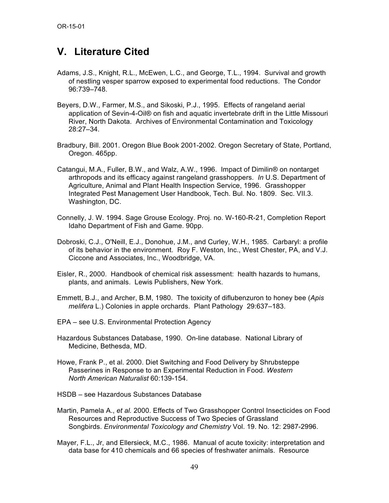# **V. Literature Cited**

- Adams, J.S., Knight, R.L., McEwen, L.C., and George, T.L., 1994. Survival and growth of nestling vesper sparrow exposed to experimental food reductions. The Condor 96:739–748.
- Beyers, D.W., Farmer, M.S., and Sikoski, P.J., 1995. Effects of rangeland aerial application of Sevin-4-Oil® on fish and aquatic invertebrate drift in the Little Missouri River, North Dakota. Archives of Environmental Contamination and Toxicology 28:27–34.
- Bradbury, Bill. 2001. Oregon Blue Book 2001-2002. Oregon Secretary of State, Portland, Oregon. 465pp.
- Catangui, M.A., Fuller, B.W., and Walz, A.W., 1996. Impact of Dimilin® on nontarget arthropods and its efficacy against rangeland grasshoppers. *In* U.S. Department of Agriculture, Animal and Plant Health Inspection Service, 1996. Grasshopper Integrated Pest Management User Handbook, Tech. Bul. No. 1809. Sec. VII.3. Washington, DC.
- Connelly, J. W. 1994. Sage Grouse Ecology. Proj. no. W-160-R-21, Completion Report Idaho Department of Fish and Game. 90pp.
- Dobroski, C.J., O'Neill, E.J., Donohue, J.M., and Curley, W.H., 1985. Carbaryl: a profile of its behavior in the environment. Roy F. Weston, Inc., West Chester, PA, and V.J. Ciccone and Associates, Inc., Woodbridge, VA.
- Eisler, R., 2000. Handbook of chemical risk assessment: health hazards to humans, plants, and animals. Lewis Publishers, New York.
- Emmett, B.J., and Archer, B.M, 1980. The toxicity of diflubenzuron to honey bee (*Apis melifera* L.) Colonies in apple orchards. Plant Pathology 29:637–183.
- EPA see U.S. Environmental Protection Agency
- Hazardous Substances Database, 1990. On-line database. National Library of Medicine, Bethesda, MD.
- Howe, Frank P., et al. 2000. Diet Switching and Food Delivery by Shrubsteppe Passerines in Response to an Experimental Reduction in Food. *Western North American Naturalist* 60:139-154.
- HSDB see Hazardous Substances Database
- Martin, Pamela A., *et al.* 2000. Effects of Two Grasshopper Control Insecticides on Food Resources and Reproductive Success of Two Species of Grassland Songbirds. *Environmental Toxicology and Chemistry* Vol. 19. No. 12: 2987-2996.
- Mayer, F.L., Jr, and Ellersieck, M.C., 1986. Manual of acute toxicity: interpretation and data base for 410 chemicals and 66 species of freshwater animals. Resource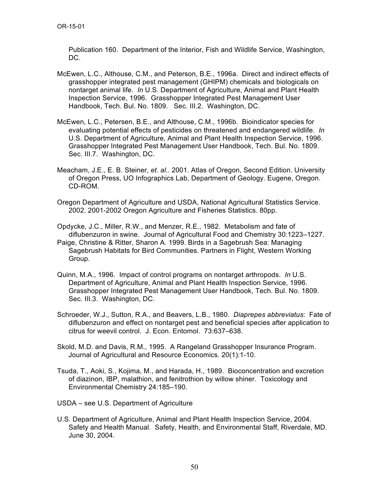Publication 160. Department of the Interior, Fish and Wildlife Service, Washington, DC.

- McEwen, L.C., Althouse, C.M., and Peterson, B.E., 1996a. Direct and indirect effects of grasshopper integrated pest management (GHIPM) chemicals and biologicals on nontarget animal life. *In* U.S. Department of Agriculture, Animal and Plant Health Inspection Service, 1996. Grasshopper Integrated Pest Management User Handbook, Tech. Bul. No. 1809. Sec. III.2. Washington, DC.
- McEwen, L.C., Petersen, B.E., and Althouse, C.M., 1996b. Bioindicator species for evaluating potential effects of pesticides on threatened and endangered wildlife. *In*  U.S. Department of Agriculture, Animal and Plant Health Inspection Service, 1996. Grasshopper Integrated Pest Management User Handbook, Tech. Bul. No. 1809. Sec. III.7. Washington, DC.
- Meacham, J.E., E. B. Steiner, *et. al*.. 2001. Atlas of Oregon, Second Edition. University of Oregon Press, UO Infographics Lab, Department of Geology. Eugene, Oregon. CD-ROM.
- Oregon Department of Agriculture and USDA, National Agricultural Statistics Service. 2002. 2001-2002 Oregon Agriculture and Fisheries Statistics. 80pp.

Opdycke, J.C., Miller, R.W., and Menzer, R.E., 1982. Metabolism and fate of diflubenzuron in swine. Journal of Agricultural Food and Chemistry 30:1223–1227.

- Paige, Christine & Ritter, Sharon A. 1999. Birds in a Sagebrush Sea: Managing Sagebrush Habitats for Bird Communities. Partners in Flight, Western Working Group.
- Quinn, M.A., 1996. Impact of control programs on nontarget arthropods. *In* U.S. Department of Agriculture, Animal and Plant Health Inspection Service, 1996. Grasshopper Integrated Pest Management User Handbook, Tech. Bul. No. 1809. Sec. III.3. Washington, DC.
- Schroeder, W.J., Sutton, R.A., and Beavers, L.B., 1980. *Diaprepes abbreviatus*: Fate of diflubenzuron and effect on nontarget pest and beneficial species after application to citrus for weevil control. J. Econ. Entomol. 73:637–638.
- Skold, M.D. and Davis, R.M., 1995. A Rangeland Grasshopper Insurance Program. Journal of Agricultural and Resource Economics. 20(1):1-10.
- Tsuda, T., Aoki, S., Kojima, M., and Harada, H., 1989. Bioconcentration and excretion of diazinon, IBP, malathion, and fenitrothion by willow shiner. Toxicology and Environmental Chemistry 24:185–190.
- USDA see U.S. Department of Agriculture
- U.S. Department of Agriculture, Animal and Plant Health Inspection Service, 2004. Safety and Health Manual. Safety, Health, and Environmental Staff, Riverdale, MD. June 30, 2004.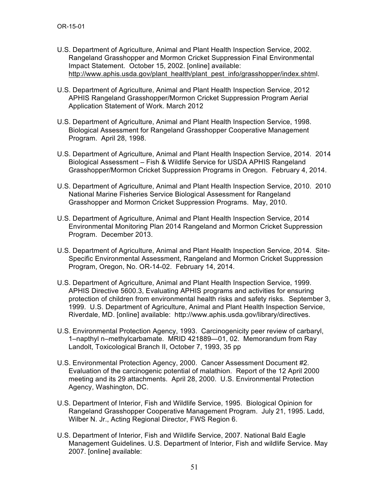- U.S. Department of Agriculture, Animal and Plant Health Inspection Service, 2002. Rangeland Grasshopper and Mormon Cricket Suppression Final Environmental Impact Statement. October 15, 2002. [online] available: http://www.aphis.usda.gov/plant\_health/plant\_pest\_info/grasshopper/index.shtml.
- U.S. Department of Agriculture, Animal and Plant Health Inspection Service, 2012 APHIS Rangeland Grasshopper/Mormon Cricket Suppression Program Aerial Application Statement of Work. March 2012
- U.S. Department of Agriculture, Animal and Plant Health Inspection Service, 1998. Biological Assessment for Rangeland Grasshopper Cooperative Management Program. April 28, 1998.
- U.S. Department of Agriculture, Animal and Plant Health Inspection Service, 2014. 2014 Biological Assessment – Fish & Wildlife Service for USDA APHIS Rangeland Grasshopper/Mormon Cricket Suppression Programs in Oregon. February 4, 2014.
- U.S. Department of Agriculture, Animal and Plant Health Inspection Service, 2010. 2010 National Marine Fisheries Service Biological Assessment for Rangeland Grasshopper and Mormon Cricket Suppression Programs. May, 2010.
- U.S. Department of Agriculture, Animal and Plant Health Inspection Service, 2014 Environmental Monitoring Plan 2014 Rangeland and Mormon Cricket Suppression Program. December 2013.
- U.S. Department of Agriculture, Animal and Plant Health Inspection Service, 2014. Site-Specific Environmental Assessment, Rangeland and Mormon Cricket Suppression Program, Oregon, No. OR-14-02. February 14, 2014.
- U.S. Department of Agriculture, Animal and Plant Health Inspection Service, 1999. APHIS Directive 5600.3, Evaluating APHIS programs and activities for ensuring protection of children from environmental health risks and safety risks. September 3, 1999. U.S. Department of Agriculture, Animal and Plant Health Inspection Service, Riverdale, MD. [online] available: http://www.aphis.usda.gov/library/directives.
- U.S. Environmental Protection Agency, 1993. Carcinogenicity peer review of carbaryl, 1–napthyl n–methylcarbamate. MRID 421889—01, 02. Memorandum from Ray Landolt, Toxicological Branch II, October 7, 1993, 35 pp
- U.S. Environmental Protection Agency, 2000. Cancer Assessment Document #2. Evaluation of the carcinogenic potential of malathion. Report of the 12 April 2000 meeting and its 29 attachments. April 28, 2000. U.S. Environmental Protection Agency, Washington, DC.
- U.S. Department of Interior, Fish and Wildlife Service, 1995. Biological Opinion for Rangeland Grasshopper Cooperative Management Program. July 21, 1995. Ladd, Wilber N. Jr., Acting Regional Director, FWS Region 6.
- U.S. Department of Interior, Fish and Wildlife Service, 2007. National Bald Eagle Management Guidelines. U.S. Department of Interior, Fish and wildlife Service. May 2007. [online] available: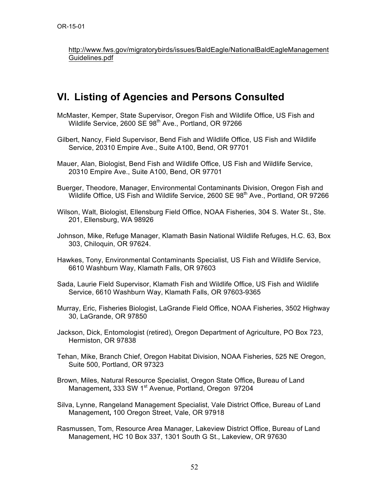http://www.fws.gov/migratorybirds/issues/BaldEagle/NationalBaldEagleManagement Guidelines.pdf

# **VI. Listing of Agencies and Persons Consulted**

- McMaster, Kemper, State Supervisor, Oregon Fish and Wildlife Office, US Fish and Wildlife Service, 2600 SE 98<sup>th</sup> Ave., Portland, OR 97266
- Gilbert, Nancy, Field Supervisor, Bend Fish and Wildlife Office, US Fish and Wildlife Service, 20310 Empire Ave., Suite A100, Bend, OR 97701

Mauer, Alan, Biologist, Bend Fish and Wildlife Office, US Fish and Wildlife Service, 20310 Empire Ave., Suite A100, Bend, OR 97701

- Buerger, Theodore, Manager, Environmental Contaminants Division, Oregon Fish and Wildlife Office, US Fish and Wildlife Service, 2600 SE 98<sup>th</sup> Ave., Portland, OR 97266
- Wilson, Walt, Biologist, Ellensburg Field Office, NOAA Fisheries, 304 S. Water St., Ste. 201, Ellensburg, WA 98926
- Johnson, Mike, Refuge Manager, Klamath Basin National Wildlife Refuges, H.C. 63, Box 303, Chiloquin, OR 97624.
- Hawkes, Tony, Environmental Contaminants Specialist, US Fish and Wildlife Service, 6610 Washburn Way, Klamath Falls, OR 97603
- Sada, Laurie Field Supervisor, Klamath Fish and Wildlife Office, US Fish and Wildlife Service, 6610 Washburn Way, Klamath Falls, OR 97603-9365
- Murray, Eric, Fisheries Biologist, LaGrande Field Office, NOAA Fisheries, 3502 Highway 30, LaGrande, OR 97850
- Jackson, Dick, Entomologist (retired), Oregon Department of Agriculture, PO Box 723, Hermiston, OR 97838
- Tehan, Mike, Branch Chief, Oregon Habitat Division, NOAA Fisheries, 525 NE Oregon, Suite 500, Portland, OR 97323
- Brown, Miles, Natural Resource Specialist, Oregon State Office**,** Bureau of Land Management, 333 SW 1<sup>st</sup> Avenue, Portland, Oregon 97204
- Silva, Lynne, Rangeland Management Specialist, Vale District Office, Bureau of Land Management**,** 100 Oregon Street, Vale, OR 97918
- Rasmussen, Tom, Resource Area Manager, Lakeview District Office, Bureau of Land Management, HC 10 Box 337, 1301 South G St., Lakeview, OR 97630